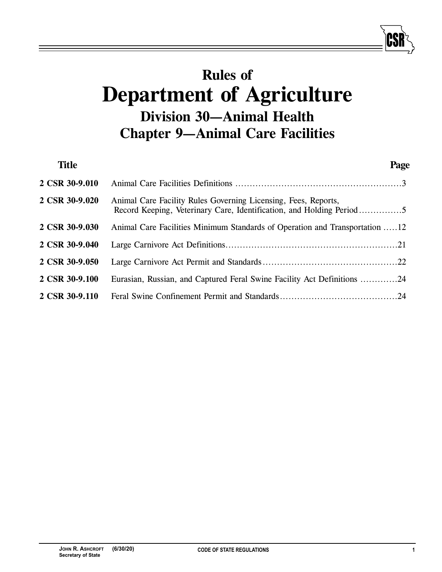# **Rules of Department of Agriculture Division 30—Animal Health Chapter 9—Animal Care Facilities**

| <b>Title</b>   |                                                                                                                                        | Page |
|----------------|----------------------------------------------------------------------------------------------------------------------------------------|------|
| 2 CSR 30-9.010 |                                                                                                                                        |      |
| 2 CSR 30-9.020 | Animal Care Facility Rules Governing Licensing, Fees, Reports,<br>Record Keeping, Veterinary Care, Identification, and Holding Period5 |      |
| 2 CSR 30-9.030 | Animal Care Facilities Minimum Standards of Operation and Transportation 12                                                            |      |
| 2 CSR 30-9.040 |                                                                                                                                        |      |
| 2 CSR 30-9.050 |                                                                                                                                        |      |
| 2 CSR 30-9.100 | Eurasian, Russian, and Captured Feral Swine Facility Act Definitions 24                                                                |      |
| 2 CSR 30-9.110 |                                                                                                                                        |      |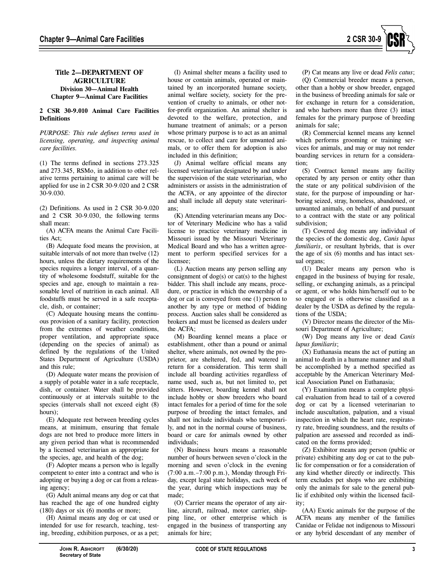

# **Title 2—DEPARTMENT OF AGRICULTURE Division 30—Animal Health Chapter 9—Animal Care Facilities**

## **2 CSR 30-9.010 Animal Care Facilities Definitions**

*PURPOSE: This rule defines terms used in licensing, operating, and inspecting animal care facilities.* 

(1) The terms defined in sections 273.325 and 273.345, RSMo, in addition to other relative terms pertaining to animal care will be applied for use in 2 CSR 30-9.020 and 2 CSR 30-9.030.

(2) Definitions. As used in 2 CSR 30-9.020 and 2 CSR 30-9.030, the following terms shall mean:

(A) ACFA means the Animal Care Facilities Act;

(B) Adequate food means the provision, at suitable intervals of not more than twelve (12) hours, unless the dietary requirements of the species requires a longer interval, of a quantity of wholesome foodstuff, suitable for the species and age, enough to maintain a reasonable level of nutrition in each animal. All foodstuffs must be served in a safe receptacle, dish, or container;

(C) Adequate housing means the continuous provision of a sanitary facility, protection from the extremes of weather conditions, proper ventilation, and appropriate space (depending on the species of animal) as defined by the regulations of the United States Department of Agriculture (USDA) and this rule;

(D) Adequate water means the provision of a supply of potable water in a safe receptacle, dish, or container. Water shall be provided continuously or at intervals suitable to the species (intervals shall not exceed eight (8) hours);

(E) Adequate rest between breeding cycles means, at minimum, ensuring that female dogs are not bred to produce more litters in any given period than what is recommended by a licensed veterinarian as appropriate for the species, age, and health of the dog;

(F) Adopter means a person who is legally competent to enter into a contract and who is adopting or buying a dog or cat from a releasing agency;

(G) Adult animal means any dog or cat that has reached the age of one hundred eighty (180) days or six (6) months or more;

(H) Animal means any dog or cat used or intended for use for research, teaching, testing, breeding, exhibition purposes, or as a pet;

(I) Animal shelter means a facility used to house or contain animals, operated or maintained by an incorporated humane society, animal welfare society, society for the prevention of cruelty to animals, or other notfor-profit organization. An animal shelter is devoted to the welfare, protection, and humane treatment of animals; or a person whose primary purpose is to act as an animal rescue, to collect and care for unwanted animals, or to offer them for adoption is also included in this definition;

(J) Animal welfare official means any licensed veterinarian designated by and under the supervision of the state veterinarian, who administers or assists in the administration of the ACFA, or any appointee of the director and shall include all deputy state veterinarians;

(K) Attending veterinarian means any Doctor of Veterinary Medicine who has a valid license to practice veterinary medicine in Missouri issued by the Missouri Veterinary Medical Board and who has a written agreement to perform specified services for a licensee;

(L) Auction means any person selling any consignment of  $dog(s)$  or cat(s) to the highest bidder. This shall include any means, procedure, or practice in which the ownership of a dog or cat is conveyed from one (1) person to another by any type or method of bidding process. Auction sales shall be considered as brokers and must be licensed as dealers under the ACFA;

(M) Boarding kennel means a place or establishment, other than a pound or animal shelter, where animals, not owned by the proprietor, are sheltered, fed, and watered in return for a consideration. This term shall include all boarding activities regardless of name used, such as, but not limited to, pet sitters. However, boarding kennel shall not include hobby or show breeders who board intact females for a period of time for the sole purpose of breeding the intact females, and shall not include individuals who temporarily, and not in the normal course of business, board or care for animals owned by other individuals;

(N) Business hours means a reasonable number of hours between seven o'clock in the morning and seven o'clock in the evening (7:00 a.m.–7:00 p.m.), Monday through Friday, except legal state holidays, each week of the year, during which inspections may be made;

(O) Carrier means the operator of any airline, aircraft, railroad, motor carrier, shipping line, or other enterprise which is engaged in the business of transporting any animals for hire;

(P) Cat means any live or dead *Felis catus*; (Q) Commercial breeder means a person, other than a hobby or show breeder, engaged in the business of breeding animals for sale or for exchange in return for a consideration, and who harbors more than three (3) intact females for the primary purpose of breeding animals for sale;

(R) Commercial kennel means any kennel which performs grooming or training services for animals, and may or may not render boarding services in return for a consideration;

(S) Contract kennel means any facility operated by any person or entity other than the state or any political subdivision of the state, for the purpose of impounding or harboring seized, stray, homeless, abandoned, or unwanted animals, on behalf of and pursuant to a contract with the state or any political subdivision;

(T) Covered dog means any individual of the species of the domestic dog, *Canis lupus familiaris*, or resultant hybrids, that is over the age of six (6) months and has intact sexual organs;

(U) Dealer means any person who is engaged in the business of buying for resale, selling, or exchanging animals, as a principal or agent, or who holds him/herself out to be so engaged or is otherwise classified as a dealer by the USDA as defined by the regulations of the USDA;

(V) Director means the director of the Missouri Department of Agriculture;

(W) Dog means any live or dead *Canis lupus familiaris*;

(X) Euthanasia means the act of putting an animal to death in a humane manner and shall be accomplished by a method specified as acceptable by the American Veterinary Medical Association Panel on Euthanasia;

(Y) Examination means a complete physical evaluation from head to tail of a covered dog or cat by a licensed veterinarian to include auscultation, palpation, and a visual inspection in which the heart rate, respiratory rate, breeding soundness, and the results of palpation are assessed and recorded as indicated on the forms provided;

(Z) Exhibitor means any person (public or private) exhibiting any dog or cat to the public for compensation or for a consideration of any kind whether directly or indirectly. This term excludes pet shops who are exhibiting only the animals for sale to the general public if exhibited only within the licensed facility;

(AA) Exotic animals for the purpose of the ACFA means any member of the families Canidae or Felidae not indigenous to Missouri or any hybrid descendant of any member of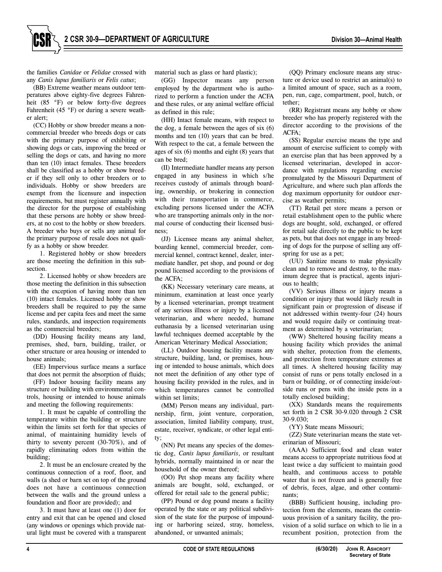the families *Canidae* or *Felidae* crossed with any *Canis lupus familiaris* or *Felis catus*;

(BB) Extreme weather means outdoor temperatures above eighty-five degrees Fahrenheit (85 °F) or below forty-five degrees Fahrenheit (45 °F) or during a severe weather alert;

(CC) Hobby or show breeder means a noncommercial breeder who breeds dogs or cats with the primary purpose of exhibiting or showing dogs or cats, improving the breed or selling the dogs or cats, and having no more than ten (10) intact females. These breeders shall be classified as a hobby or show breeder if they sell only to other breeders or to individuals. Hobby or show breeders are exempt from the licensure and inspection requirements, but must register annually with the director for the purpose of establishing that these persons are hobby or show breeders, at no cost to the hobby or show breeders. A breeder who buys or sells any animal for the primary purpose of resale does not qualify as a hobby or show breeder.

1. Registered hobby or show breeders are those meeting the definition in this subsection.

2. Licensed hobby or show breeders are those meeting the definition in this subsection with the exception of having more than ten (10) intact females. Licensed hobby or show breeders shall be required to pay the same license and per capita fees and meet the same rules, standards, and inspection requirements as the commercial breeders;

(DD) Housing facility means any land, premises, shed, barn, building, trailer, or other structure or area housing or intended to house animals;

(EE) Impervious surface means a surface that does not permit the absorption of fluids;

(FF) Indoor housing facility means any structure or building with environmental controls, housing or intended to house animals and meeting the following requirements:

1. It must be capable of controlling the temperature within the building or structure within the limits set forth for that species of animal, of maintaining humidity levels of thirty to seventy percent  $(30-70\%)$ , and of rapidly eliminating odors from within the building;

2. It must be an enclosure created by the continuous connection of a roof, floor, and walls (a shed or barn set on top of the ground does not have a continuous connection between the walls and the ground unless a foundation and floor are provided); and

3. It must have at least one (1) door for entry and exit that can be opened and closed (any windows or openings which provide natural light must be covered with a transparent material such as glass or hard plastic);

(GG) Inspector means any person employed by the department who is authorized to perform a function under the ACFA and these rules, or any animal welfare official as defined in this rule;

(HH) Intact female means, with respect to the dog, a female between the ages of six (6) months and ten (10) years that can be bred. With respect to the cat, a female between the ages of six (6) months and eight (8) years that can be bred;

(II) Intermediate handler means any person engaged in any business in which s/he receives custody of animals through boarding, ownership, or brokering in connection with their transportation in commerce, excluding persons licensed under the ACFA who are transporting animals only in the normal course of conducting their licensed business;

(JJ) Licensee means any animal shelter, boarding kennel, commercial breeder, commercial kennel, contract kennel, dealer, intermediate handler, pet shop, and pound or dog pound licensed according to the provisions of the ACFA;

(KK) Necessary veterinary care means, at minimum, examination at least once yearly by a licensed veterinarian, prompt treatment of any serious illness or injury by a licensed veterinarian, and where needed, humane euthanasia by a licensed veterinarian using lawful techniques deemed acceptable by the American Veterinary Medical Association;

(LL) Outdoor housing facility means any structure, building, land, or premises, housing or intended to house animals, which does not meet the definition of any other type of housing facility provided in the rules, and in which temperatures cannot be controlled within set limits;

(MM) Person means any individual, partnership, firm, joint venture, corporation, association, limited liability company, trust, estate, receiver, syndicate, or other legal entity;

(NN) Pet means any species of the domestic dog, *Canis lupus familiaris*, or resultant hybrids, normally maintained in or near the household of the owner thereof;

(OO) Pet shop means any facility where animals are bought, sold, exchanged, or offered for retail sale to the general public;

(PP) Pound or dog pound means a facility operated by the state or any political subdivision of the state for the purpose of impounding or harboring seized, stray, homeless, abandoned, or unwanted animals;

(QQ) Primary enclosure means any structure or device used to restrict an animal(s) to a limited amount of space, such as a room, pen, run, cage, compartment, pool, hutch, or tether;

(RR) Registrant means any hobby or show breeder who has properly registered with the director according to the provisions of the ACFA;

(SS) Regular exercise means the type and amount of exercise sufficient to comply with an exercise plan that has been approved by a licensed veterinarian, developed in accordance with regulations regarding exercise promulgated by the Missouri Department of Agriculture, and where such plan affords the dog maximum opportunity for outdoor exercise as weather permits;

(TT) Retail pet store means a person or retail establishment open to the public where dogs are bought, sold, exchanged, or offered for retail sale directly to the public to be kept as pets, but that does not engage in any breeding of dogs for the purpose of selling any offspring for use as a pet;

(UU) Sanitize means to make physically clean and to remove and destroy, to the maximum degree that is practical, agents injurious to health;

(VV) Serious illness or injury means a condition or injury that would likely result in significant pain or progression of disease if not addressed within twenty-four (24) hours and would require daily or continuing treatment as determined by a veterinarian;

(WW) Sheltered housing facility means a housing facility which provides the animal with shelter, protection from the elements, and protection from temperature extremes at all times. A sheltered housing facility may consist of runs or pens totally enclosed in a barn or building, or of connecting inside/outside runs or pens with the inside pens in a totally enclosed building;

(XX) Standards means the requirements set forth in 2 CSR 30-9.020 through 2 CSR 30-9.030;

(YY) State means Missouri;

(ZZ) State veterinarian means the state veterinarian of Missouri;

(AAA) Sufficient food and clean water means access to appropriate nutritious food at least twice a day sufficient to maintain good health, and continuous access to potable water that is not frozen and is generally free of debris, feces, algae, and other contaminants;

(BBB) Sufficient housing, including protection from the elements, means the continuous provision of a sanitary facility, the provision of a solid surface on which to lie in a recumbent position, protection from the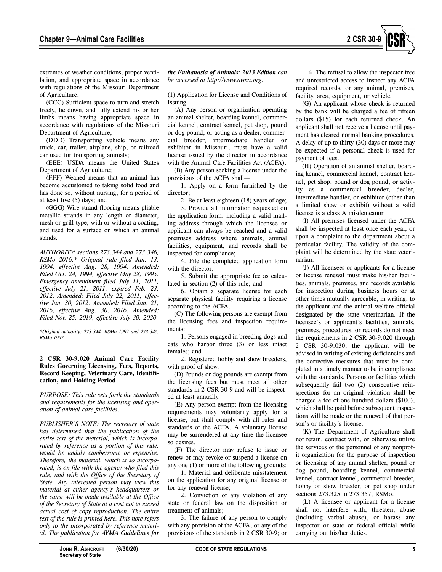

extremes of weather conditions, proper ventilation, and appropriate space in accordance with regulations of the Missouri Department of Agriculture;

(CCC) Sufficient space to turn and stretch freely, lie down, and fully extend his or her limbs means having appropriate space in accordance with regulations of the Missouri Department of Agriculture;

(DDD) Transporting vehicle means any truck, car, trailer, airplane, ship, or railroad car used for transporting animals;

(EEE) USDA means the United States Department of Agriculture;

(FFF) Weaned means that an animal has become accustomed to taking solid food and has done so, without nursing, for a period of at least five (5) days; and

(GGG) Wire strand flooring means pliable metallic strands in any length or diameter, mesh or grill-type, with or without a coating, and used for a surface on which an animal stands.

*AUTHORITY: sections 273.344 and 273.346, RSMo 2016.\* Original rule filed Jan. 13, 1994, effective Aug. 28, 1994. Amended: Filed Oct. 24, 1994, effective May 28, 1995. Emergency amendment filed July 11, 2011, effective July 21, 2011, expired Feb. 23, 2012. Amended: Filed July 22, 2011, effective Jan. 30, 2012. Amended: Filed Jan. 21, 2016, effective Aug. 30, 2016. Amended: Filed Nov. 25, 2019, effective July 30, 2020.* 

*\*Original authority: 273.344, RSMo 1992 and 273.346, RSMo 1992.* 

#### **2 CSR 30-9.020 Animal Care Facility Rules Governing Licensing, Fees, Reports, Record Keeping, Veterinary Care, Identification, and Holding Period**

*PURPOSE: This rule sets forth the standards and requirements for the licensing and operation of animal care facilities.* 

*PUBLISHER'S NOTE: The secretary of state has determined that the publication of the entire text of the material, which is incorporated by reference as a portion of this rule, would be unduly cumbersome or expensive. Therefore, the material, which is so incorporated, is on file with the agency who filed this rule, and with the Office of the Secretary of State. Any interested person may view this material at either agency's headquarters or the same will be made available at the Office of the Secretary of State at a cost not to exceed actual cost of copy reproduction. The entire text of the rule is printed here. This note refers only to the incorporated by reference material. The publication for AVMA Guidelines for*  *the Euthanasia of Animals: 2013 Edition can be accessed at http://www.avma.org.* 

(1) Application for License and Conditions of Issuing.

(A) Any person or organization operating an animal shelter, boarding kennel, commercial kennel, contract kennel, pet shop, pound or dog pound, or acting as a dealer, commercial breeder, intermediate handler or exhibitor in Missouri, must have a valid license issued by the director in accordance with the Animal Care Facilities Act (ACFA).

(B) Any person seeking a license under the provisions of the ACFA shall—

1. Apply on a form furnished by the director;

2. Be at least eighteen (18) years of age;

3. Provide all information requested on the application form, including a valid mailing address through which the licensee or applicant can always be reached and a valid premises address where animals, animal facilities, equipment, and records shall be inspected for compliance;

4. File the completed application form with the director;

5. Submit the appropriate fee as calculated in section (2) of this rule; and

6. Obtain a separate license for each separate physical facility requiring a license according to the ACFA.

(C) The following persons are exempt from the licensing fees and inspection requirements:

1. Persons engaged in breeding dogs and cats who harbor three (3) or less intact females; and

2. Registered hobby and show breeders, with proof of show.

(D) Pounds or dog pounds are exempt from the licensing fees but must meet all other standards in 2 CSR 30-9 and will be inspected at least annually.

(E) Any person exempt from the licensing requirements may voluntarily apply for a license, but shall comply with all rules and standards of the ACFA. A voluntary license may be surrendered at any time the licensee so desires.

(F) The director may refuse to issue or renew or may revoke or suspend a license on any one (1) or more of the following grounds:

1. Material and deliberate misstatement on the application for any original license or for any renewal license;

2. Conviction of any violation of any state or federal law on the disposition or treatment of animals;

3. The failure of any person to comply with any provision of the ACFA, or any of the provisions of the standards in 2 CSR 30-9; or

4. The refusal to allow the inspector free and unrestricted access to inspect any ACFA required records, or any animal, premises, facility, area, equipment, or vehicle.

(G) An applicant whose check is returned by the bank will be charged a fee of fifteen dollars (\$15) for each returned check. An applicant shall not receive a license until payment has cleared normal banking procedures. A delay of up to thirty (30) days or more may be expected if a personal check is used for payment of fees.

(H) Operation of an animal shelter, boarding kennel, commercial kennel, contract kennel, pet shop, pound or dog pound, or activity as a commercial breeder, dealer, intermediate handler, or exhibitor (other than a limited show or exhibit) without a valid license is a class A misdemeanor.

(I) All premises licensed under the ACFA shall be inspected at least once each year, or upon a complaint to the department about a particular facility. The validity of the complaint will be determined by the state veterinarian.

(J) All licensees or applicants for a license or license renewal must make his/her facilities, animals, premises, and records available for inspection during business hours or at other times mutually agreeable, in writing, to the applicant and the animal welfare official designated by the state veterinarian. If the licensee's or applicant's facilities, animals, premises, procedures, or records do not meet the requirements in 2 CSR 30-9.020 through 2 CSR 30-9.030, the applicant will be advised in writing of existing deficiencies and the corrective measures that must be completed in a timely manner to be in compliance with the standards. Persons or facilities which subsequently fail two (2) consecutive reinspections for an original violation shall be charged a fee of one hundred dollars (\$100), which shall be paid before subsequent inspections will be made or the renewal of that person's or facility's license.

(K) The Department of Agriculture shall not retain, contract with, or otherwise utilize the services of the personnel of any nonprofit organization for the purpose of inspection or licensing of any animal shelter, pound or dog pound, boarding kennel, commercial kennel, contract kennel, commercial breeder, hobby or show breeder, or pet shop under sections 273.325 to 273.357, RSMo.

(L) A licensee or applicant for a license shall not interfere with, threaten, abuse (including verbal abuse), or harass any inspector or state or federal official while carrying out his/her duties.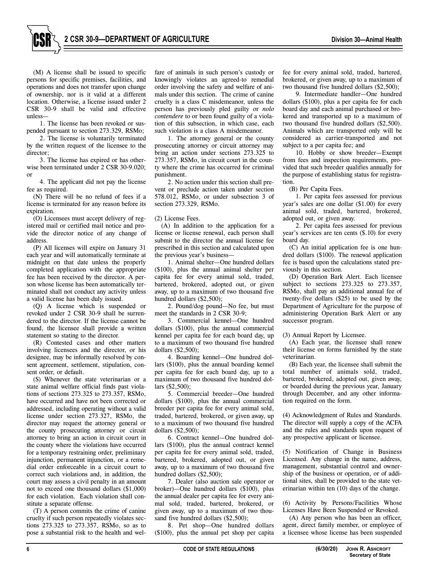**2 CSR 30-9—DEPARTMENT OF AGRICULTURE Division 30—Animal Health**



1. The license has been revoked or suspended pursuant to section 273.329, RSMo;

2. The license is voluntarily terminated by the written request of the licensee to the director;

3. The license has expired or has otherwise been terminated under 2 CSR 30-9.020; or

4. The applicant did not pay the license fee as required.

(N) There will be no refund of fees if a license is terminated for any reason before its expiration.

(O) Licensees must accept delivery of registered mail or certified mail notice and provide the director notice of any change of address.

(P) All licenses will expire on January 31 each year and will automatically terminate at midnight on that date unless the properly completed application with the appropriate fee has been received by the director. A person whose license has been automatically terminated shall not conduct any activity unless a valid license has been duly issued.

(Q) A license which is suspended or revoked under 2 CSR 30-9 shall be surrendered to the director. If the license cannot be found, the licensee shall provide a written statement so stating to the director.

(R) Contested cases and other matters involving licensees and the director, or his designee, may be informally resolved by consent agreement, settlement, stipulation, consent order, or default.

(S) Whenever the state veterinarian or a state animal welfare official finds past violations of sections 273.325 to 273.357, RSMo, have occurred and have not been corrected or addressed, including operating without a valid license under section 273.327, RSMo, the director may request the attorney general or the county prosecuting attorney or circuit attorney to bring an action in circuit court in the county where the violations have occurred for a temporary restraining order, preliminary injunction, permanent injunction, or a remedial order enforceable in a circuit court to correct such violations and, in addition, the court may assess a civil penalty in an amount not to exceed one thousand dollars (\$1,000) for each violation. Each violation shall constitute a separate offense.

(T) A person commits the crime of canine cruelty if such person repeatedly violates sections 273.325 to 273.357, RSMo, so as to pose a substantial risk to the health and welfare of animals in such person's custody or knowingly violates an agreed-to remedial order involving the safety and welfare of animals under this section. The crime of canine cruelty is a class C misdemeanor, unless the person has previously pled guilty or *nolo contendere* to or been found guilty of a violation of this subsection, in which case, each such violation is a class A misdemeanor.

1. The attorney general or the county prosecuting attorney or circuit attorney may bring an action under sections 273.325 to 273.357, RSMo, in circuit court in the county where the crime has occurred for criminal punishment.

2. No action under this section shall prevent or preclude action taken under section 578.012, RSMo, or under subsection 3 of section 273.329, RSMo.

#### (2) License Fees.

(A) In addition to the application for a license or license renewal, each person shall submit to the director the annual license fee prescribed in this section and calculated upon the previous year's business—

1. Animal shelter—One hundred dollars (\$100), plus the annual animal shelter per capita fee for every animal sold, traded, bartered, brokered, adopted out, or given away, up to a maximum of two thousand five hundred dollars (\$2,500);

2. Pound/dog pound—No fee, but must meet the standards in 2 CSR 30-9;

3. Commercial kennel—One hundred dollars (\$100), plus the annual commercial kennel per capita fee for each board day, up to a maximum of two thousand five hundred dollars (\$2,500);

4. Boarding kennel—One hundred dollars (\$100), plus the annual boarding kennel per capita fee for each board day, up to a maximum of two thousand five hundred dollars (\$2,500);

5. Commercial breeder—One hundred dollars (\$100), plus the annual commercial breeder per capita fee for every animal sold, traded, bartered, brokered, or given away, up to a maximum of two thousand five hundred dollars (\$2,500);

6. Contract kennel—One hundred dollars (\$100), plus the annual contract kennel per capita fee for every animal sold, traded, bartered, brokered, adopted out, or given away, up to a maximum of two thousand five hundred dollars (\$2,500);

7. Dealer (also auction sale operator or broker)—One hundred dollars (\$100), plus the annual dealer per capita fee for every animal sold, traded, bartered, brokered, or given away, up to a maximum of two thousand five hundred dollars (\$2,500);

8. Pet shop—One hundred dollars (\$100), plus the annual pet shop per capita

fee for every animal sold, traded, bartered, brokered, or given away, up to a maximum of two thousand five hundred dollars (\$2,500);

9. Intermediate handler—One hundred dollars (\$100), plus a per capita fee for each board day and each animal purchased or brokered and transported up to a maximum of two thousand five hundred dollars (\$2,500). Animals which are transported only will be considered as carrier-transported and not subject to a per capita fee; and

10. Hobby or show breeder—Exempt from fees and inspection requirements, provided that such breeder qualifies annually for the purpose of establishing status for registration.

(B) Per Capita Fees.

1. Per capita fees assessed for previous year's sales are one dollar (\$1.00) for every animal sold, traded, bartered, brokered, adopted out, or given away.

2. Per capita fees assessed for previous year's services are ten cents (\$.10) for every board day.

(C) An initial application fee is one hundred dollars (\$100). The renewal application fee is based upon the calculations stated previously in this section.

(D) Operation Bark Alert. Each licensee subject to sections 273.325 to 273.357, RSMo, shall pay an additional annual fee of twenty-five dollars (\$25) to be used by the Department of Agriculture for the purpose of administering Operation Bark Alert or any successor program.

(3) Annual Report by Licensee.

(A) Each year, the licensee shall renew their license on forms furnished by the state veterinarian.

(B) Each year, the licensee shall submit the total number of animals sold, traded, bartered, brokered, adopted out, given away, or boarded during the previous year, January through December, and any other information required on the form.

(4) Acknowledgment of Rules and Standards. The director will supply a copy of the ACFA and the rules and standards upon request of any prospective applicant or licensee.

(5) Notification of Change in Business Licensed. Any change in the name, address, management, substantial control and ownership of the business or operation, or of additional sites, shall be provided to the state veterinarian within ten (10) days of the change.

(6) Activity by Persons/Facilities Whose Licenses Have Been Suspended or Revoked.

(A) Any person who has been an officer, agent, direct family member, or employee of a licensee whose license has been suspended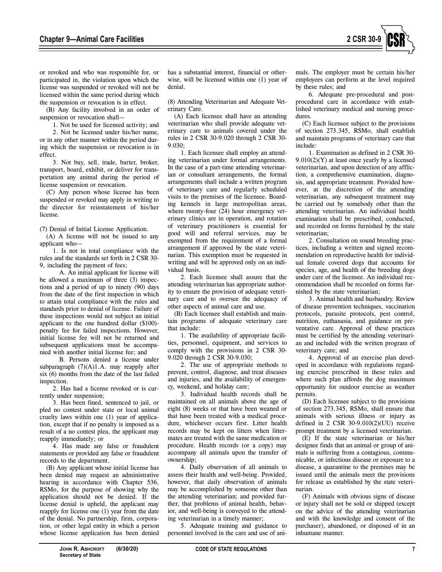

or revoked and who was responsible for, or participated in, the violation upon which the license was suspended or revoked will not be licensed within the same period during which the suspension or revocation is in effect.

(B) Any facility involved in an order of suspension or revocation shall—

1. Not be used for licensed activity; and 2. Not be licensed under his/her name, or in any other manner within the period during which the suspension or revocation is in effect.

3. Not buy, sell, trade, barter, broker, transport, board, exhibit, or deliver for transportation any animal during the period of license suspension or revocation.

(C) Any person whose license has been suspended or revoked may apply in writing to the director for reinstatement of his/her license.

(7) Denial of Initial License Application.

(A) A license will not be issued to any applicant who—

1. Is not in total compliance with the rules and the standards set forth in 2 CSR 30- 9, including the payment of fees;

A. An initial applicant for license will be allowed a maximum of three (3) inspections and a period of up to ninety (90) days from the date of the first inspection in which to attain total compliance with the rules and standards prior to denial of license. Failure of these inspections would not subject an initial applicant to the one hundred dollar (\$100) penalty fee for failed inspections. However, initial license fee will not be returned and subsequent applications must be accompanied with another initial license fee; and

B. Persons denied a license under subparagraph (7)(A)1.A. may reapply after six (6) months from the date of the last failed inspection.

2. Has had a license revoked or is currently under suspension;

3. Has been fined, sentenced to jail, or pled no contest under state or local animal cruelty laws within one (1) year of application, except that if no penalty is imposed as a result of a no contest plea, the applicant may reapply immediately; or

4. Has made any false or fraudulent statements or provided any false or fraudulent records to the department.

(B) Any applicant whose initial license has been denied may request an administrative hearing in accordance with Chapter 536, RSMo, for the purpose of showing why the application should not be denied. If the license denial is upheld, the applicant may reapply for license one (1) year from the date of the denial. No partnership, firm, corporation, or other legal entity in which a person whose license application has been denied

has a substantial interest, financial or otherwise, will be licensed within one (1) year of denial.

(8) Attending Veterinarian and Adequate Veterinary Care.

(A) Each licensee shall have an attending veterinarian who shall provide adequate veterinary care to animals covered under the rules in 2 CSR 30-9.020 through 2 CSR 30-  $9.030<sup>1</sup>$ 

1. Each licensee shall employ an attending veterinarian under formal arrangements. In the case of a part-time attending veterinarian or consultant arrangements, the formal arrangements shall include a written program of veterinary care and regularly scheduled visits to the premises of the licensee. Boarding kennels in large metropolitan areas, where twenty-four (24) hour emergency veterinary clinics are in operation, and rotation of veterinary practitioners is essential for good will and referral services, may be exempted from the requirement of a formal arrangement if approved by the state veterinarian. This exemption must be requested in writing and will be approved only on an individual basis.

2. Each licensee shall assure that the attending veterinarian has appropriate authority to ensure the provision of adequate veterinary care and to oversee the adequacy of other aspects of animal care and use.

(B) Each licensee shall establish and maintain programs of adequate veterinary care that include:

1. The availability of appropriate facilities, personnel, equipment, and services to comply with the provisions in 2 CSR 30- 9.020 through 2 CSR 30-9.030;

2. The use of appropriate methods to prevent, control, diagnose, and treat diseases and injuries, and the availability of emergency, weekend, and holiday care;

3. Individual health records shall be maintained on all animals above the age of eight (8) weeks or that have been weaned or that have been treated with a medical procedure, whichever occurs first. Litter health records may be kept on litters when littermates are treated with the same medication or procedure. Health records (or a copy) may accompany all animals upon the transfer of ownership;

4. Daily observation of all animals to assess their health and well-being. Provided, however, that daily observation of animals may be accomplished by someone other than the attending veterinarian; and provided further, that problems of animal health, behavior, and well-being is conveyed to the attending veterinarian in a timely manner;

5. Adequate training and guidance to personnel involved in the care and use of animals. The employer must be certain his/her employees can perform at the level required by these rules; and

6. Adequate pre-procedural and postprocedural care in accordance with established veterinary medical and nursing procedures.

(C) Each licensee subject to the provisions of section 273.345, RSMo, shall establish and maintain programs of veterinary care that include:

1. Examination as defined in 2 CSR 30-  $9.010(2)(Y)$  at least once yearly by a licensed veterinarian, and upon detection of any affliction, a comprehensive examination, diagnosis, and appropriate treatment. Provided however, at the discretion of the attending veterinarian, any subsequent treatment may be carried out by somebody other than the attending veterinarian. An individual health examination shall be prescribed, conducted, and recorded on forms furnished by the state veterinarian;

2. Consultation on sound breeding practices, including a written and signed recommendation on reproductive health for individual female covered dogs that accounts for species, age, and health of the breeding dogs under care of the licensee. An individual recommendation shall be recorded on forms furnished by the state veterinarian;

3. Animal health and husbandry. Review of disease prevention techniques, vaccination protocols, parasite protocols, pest control, nutrition, euthanasia, and guidance on preventative care. Approval of these practices must be certified by the attending veterinarian and included with the written program of veterinary care; and

4. Approval of an exercise plan developed in accordance with regulations regarding exercise prescribed in these rules and where such plan affords the dog maximum opportunity for outdoor exercise as weather permits.

(D) Each licensee subject to the provisions of section 273.345, RSMo, shall ensure that animals with serious illness or injury as defined in 2 CSR 30-9.010(2)(UU) receive prompt treatment by a licensed veterinarian.

(E) If the state veterinarian or his/her designee finds that an animal or group of animals is suffering from a contagious, communicable, or infectious disease or exposure to a disease, a quarantine to the premises may be issued until the animals meet the provisions for release as established by the state veterinarian.

(F) Animals with obvious signs of disease or injury shall not be sold or shipped (except on the advice of the attending veterinarian and with the knowledge and consent of the purchaser), abandoned, or disposed of in an inhumane manner.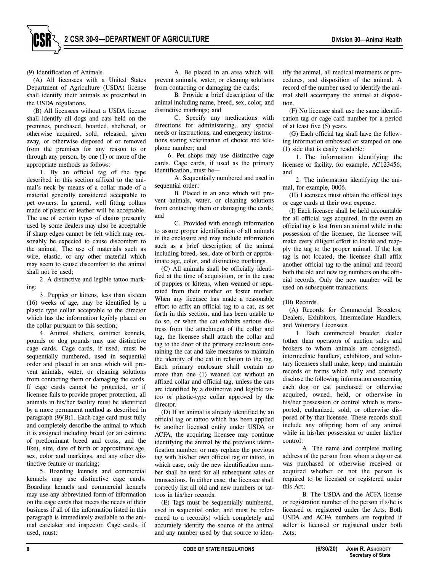(9) Identification of Animals.

(A) All licensees with a United States Department of Agriculture (USDA) license shall identify their animals as prescribed in the USDA regulations.

(B) All licensees without a USDA license shall identify all dogs and cats held on the premises, purchased, boarded, sheltered, or otherwise acquired, sold, released, given away, or otherwise disposed of or removed from the premises for any reason to or through any person, by one (1) or more of the appropriate methods as follows:

1. By an official tag of the type described in this section affixed to the animal's neck by means of a collar made of a material generally considered acceptable to pet owners. In general, well fitting collars made of plastic or leather will be acceptable. The use of certain types of chains presently used by some dealers may also be acceptable if sharp edges cannot be felt which may reasonably be expected to cause discomfort to the animal. The use of materials such as wire, elastic, or any other material which may seem to cause discomfort to the animal shall not be used;

2. A distinctive and legible tattoo marking;

3. Puppies or kittens, less than sixteen (16) weeks of age, may be identified by a plastic type collar acceptable to the director which has the information legibly placed on the collar pursuant to this section;

4. Animal shelters, contract kennels, pounds or dog pounds may use distinctive cage cards. Cage cards, if used, must be sequentially numbered, used in sequential order and placed in an area which will prevent animals, water, or cleaning solutions from contacting them or damaging the cards. If cage cards cannot be protected, or if licensee fails to provide proper protection, all animals in his/her facility must be identified by a more permanent method as described in paragraph (9)(B)1. Each cage card must fully and completely describe the animal to which it is assigned including breed (or an estimate of predominant breed and cross, and the like), size, date of birth or approximate age, sex, color and markings, and any other distinctive feature or marking;

5. Boarding kennels and commercial kennels may use distinctive cage cards. Boarding kennels and commercial kennels may use any abbreviated form of information on the cage cards that meets the needs of their business if all of the information listed in this paragraph is immediately available to the animal caretaker and inspector. Cage cards, if used, must:

A. Be placed in an area which will prevent animals, water, or cleaning solutions from contacting or damaging the cards;

B. Provide a brief description of the animal including name, breed, sex, color, and distinctive markings; and

C. Specify any medications with directions for administering, any special needs or instructions, and emergency instructions stating veterinarian of choice and telephone number; and

6. Pet shops may use distinctive cage cards. Cage cards, if used as the primary identification, must be—

A. Sequentially numbered and used in sequential order;

B. Placed in an area which will prevent animals, water, or cleaning solutions from contacting them or damaging the cards; and

C. Provided with enough information to assure proper identification of all animals in the enclosure and may include information such as a brief description of the animal including breed, sex, date of birth or approximate age, color, and distinctive markings.

(C) All animals shall be officially identified at the time of acquisition, or in the case of puppies or kittens, when weaned or separated from their mother or foster mother. When any licensee has made a reasonable effort to affix an official tag to a cat, as set forth in this section, and has been unable to do so, or when the cat exhibits serious distress from the attachment of the collar and tag, the licensee shall attach the collar and tag to the door of the primary enclosure containing the cat and take measures to maintain the identity of the cat in relation to the tag. Each primary enclosure shall contain no more than one (1) weaned cat without an affixed collar and official tag, unless the cats are identified by a distinctive and legible tattoo or plastic-type collar approved by the director.

(D) If an animal is already identified by an official tag or tattoo which has been applied by another licensed entity under USDA or ACFA, the acquiring licensee may continue identifying the animal by the previous identification number, or may replace the previous tag with his/her own official tag or tattoo, in which case, only the new identification number shall be used for all subsequent sales or transactions. In either case, the licensee shall correctly list all old and new numbers or tattoos in his/her records.

(E) Tags must be sequentially numbered, used in sequential order, and must be referenced to a record(s) which completely and accurately identify the source of the animal and any number used by that source to identify the animal, all medical treatments or procedures, and disposition of the animal. A record of the number used to identify the animal shall accompany the animal at disposition.

(F) No licensee shall use the same identification tag or cage card number for a period of at least five (5) years.

(G) Each official tag shall have the following information embossed or stamped on one (1) side that is easily readable:

1. The information identifying the licensee or facility, for example, AC123456; and

2. The information identifying the animal, for example, 0006.

(H) Licensees must obtain the official tags or cage cards at their own expense.

(I) Each licensee shall be held accountable for all official tags acquired. In the event an official tag is lost from an animal while in the possession of the licensee, the licensee will make every diligent effort to locate and reapply the tag to the proper animal. If the lost tag is not located, the licensee shall affix another official tag to the animal and record both the old and new tag numbers on the official records. Only the new number will be used on subsequent transactions.

#### (10) Records.

(A) Records for Commercial Breeders, Dealers, Exhibitors, Intermediate Handlers, and Voluntary Licensees.

1. Each commercial breeder, dealer (other than operators of auction sales and brokers to whom animals are consigned), intermediate handlers, exhibitors, and voluntary licensees shall make, keep, and maintain records or forms which fully and correctly disclose the following information concerning each dog or cat purchased or otherwise acquired, owned, held, or otherwise in his/her possession or control which is transported, euthanized, sold, or otherwise disposed of by that licensee. These records shall include any offspring born of any animal while in his/her possession or under his/her control:

A. The name and complete mailing address of the person from whom a dog or cat was purchased or otherwise received or acquired whether or not the person is required to be licensed or registered under this Act;

B. The USDA and the ACFA license or registration number of the person if s/he is licensed or registered under the Acts. Both USDA and ACFA numbers are required if seller is licensed or registered under both Acts;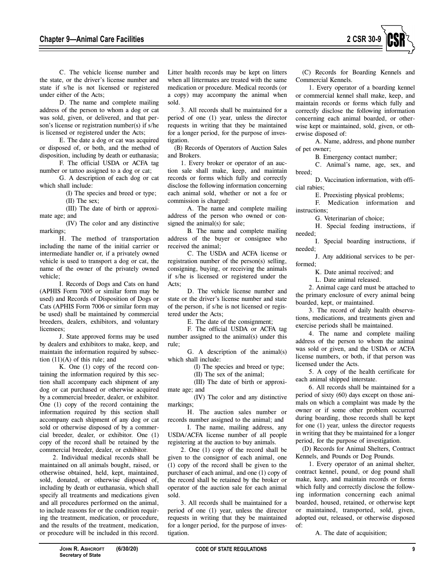

C. The vehicle license number and the state, or the driver's license number and state if s/he is not licensed or registered under either of the Acts;

D. The name and complete mailing address of the person to whom a dog or cat was sold, given, or delivered, and that person's license or registration number(s) if s/he is licensed or registered under the Acts;

E. The date a dog or cat was acquired or disposed of, or both, and the method of disposition, including by death or euthanasia;

F. The official USDA or ACFA tag number or tattoo assigned to a dog or cat;

G. A description of each dog or cat which shall include:

> (I) The species and breed or type; (II) The sex;

(III) The date of birth or approximate age; and

(IV) The color and any distinctive markings;

H. The method of transportation including the name of the initial carrier or intermediate handler or, if a privately owned vehicle is used to transport a dog or cat, the name of the owner of the privately owned vehicle;

I. Records of Dogs and Cats on hand (APHIS Form 7005 or similar form may be used) and Records of Disposition of Dogs or Cats (APHIS Form 7006 or similar form may be used) shall be maintained by commercial breeders, dealers, exhibitors, and voluntary licensees;

J. State approved forms may be used by dealers and exhibitors to make, keep, and maintain the information required by subsection  $(11)(A)$  of this rule; and

K. One (1) copy of the record containing the information required by this section shall accompany each shipment of any dog or cat purchased or otherwise acquired by a commercial breeder, dealer, or exhibitor. One (1) copy of the record containing the information required by this section shall accompany each shipment of any dog or cat sold or otherwise disposed of by a commercial breeder, dealer, or exhibitor. One (1) copy of the record shall be retained by the commercial breeder, dealer, or exhibitor.

2. Individual medical records shall be maintained on all animals bought, raised, or otherwise obtained, held, kept, maintained, sold, donated, or otherwise disposed of, including by death or euthanasia, which shall specify all treatments and medications given and all procedures performed on the animal, to include reasons for or the condition requiring the treatment, medication, or procedure, and the results of the treatment, medication, or procedure will be included in this record.

Litter health records may be kept on litters when all littermates are treated with the same medication or procedure. Medical records (or a copy) may accompany the animal when sold.

3. All records shall be maintained for a period of one (1) year, unless the director requests in writing that they be maintained for a longer period, for the purpose of investigation.

(B) Records of Operators of Auction Sales and Brokers.

1. Every broker or operator of an auction sale shall make, keep, and maintain records or forms which fully and correctly disclose the following information concerning each animal sold, whether or not a fee or commission is charged:

A. The name and complete mailing address of the person who owned or consigned the animal(s) for sale;

B. The name and complete mailing address of the buyer or consignee who received the animal;

C. The USDA and ACFA license or registration number of the person(s) selling, consigning, buying, or receiving the animals if s/he is licensed or registered under the Acts;

D. The vehicle license number and state or the driver's license number and state of the person, if s/he is not licensed or registered under the Acts;

E. The date of the consignment;

F. The official USDA or ACFA tag number assigned to the animal(s) under this rule;

G. A description of the animal(s) which shall include:

(I) The species and breed or type;

(II) The sex of the animal;

(III) The date of birth or approximate age; and

(IV) The color and any distinctive markings;

H. The auction sales number or records number assigned to the animal; and

I. The name, mailing address, any USDA/ACFA license number of all people registering at the auction to buy animals.

2. One (1) copy of the record shall be given to the consignor of each animal, one (1) copy of the record shall be given to the purchaser of each animal, and one (1) copy of the record shall be retained by the broker or operator of the auction sale for each animal sold.

3. All records shall be maintained for a period of one (1) year, unless the director requests in writing that they be maintained for a longer period, for the purpose of investigation.

(C) Records for Boarding Kennels and Commercial Kennels.

1. Every operator of a boarding kennel or commercial kennel shall make, keep, and maintain records or forms which fully and correctly disclose the following information concerning each animal boarded, or otherwise kept or maintained, sold, given, or otherwise disposed of:

A. Name, address, and phone number of pet owner;

B. Emergency contact number;

C. Animal's name, age, sex, and breed;

D. Vaccination information, with official rabies;

E. Preexisting physical problems;

F. Medication information and instructions;

G. Veterinarian of choice;

H. Special feeding instructions, if needed;

I. Special boarding instructions, if needed;

J. Any additional services to be performed;

K. Date animal received; and

L. Date animal released.

2. Animal cage card must be attached to the primary enclosure of every animal being boarded, kept, or maintained.

3. The record of daily health observations, medications, and treatments given and exercise periods shall be maintained.

4. The name and complete mailing address of the person to whom the animal was sold or given, and the USDA or ACFA license numbers, or both, if that person was licensed under the Acts.

5. A copy of the health certificate for each animal shipped interstate.

6. All records shall be maintained for a period of sixty (60) days except on those animals on which a complaint was made by the owner or if some other problem occurred during boarding, those records shall be kept for one (1) year, unless the director requests in writing that they be maintained for a longer period, for the purpose of investigation.

(D) Records for Animal Shelters, Contract Kennels, and Pounds or Dog Pounds.

1. Every operator of an animal shelter, contract kennel, pound, or dog pound shall make, keep, and maintain records or forms which fully and correctly disclose the following information concerning each animal boarded, housed, retained, or otherwise kept or maintained, transported, sold, given, adopted out, released, or otherwise disposed of:

A. The date of acquisition;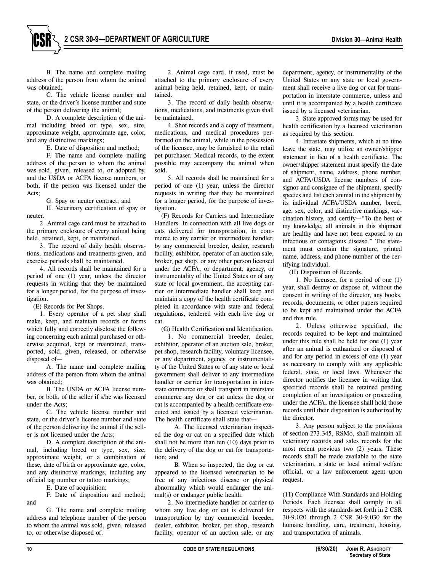B. The name and complete mailing address of the person from whom the animal was obtained;

C. The vehicle license number and state, or the driver's license number and state of the person delivering the animal;

D. A complete description of the animal including breed or type, sex, size, approximate weight, approximate age, color, and any distinctive markings;

E. Date of disposition and method;

F. The name and complete mailing address of the person to whom the animal was sold, given, released to, or adopted by, and the USDA or ACFA license numbers, or both, if the person was licensed under the Acts;

G. Spay or neuter contract; and

H. Veterinary certification of spay or neuter.

2. Animal cage card must be attached to the primary enclosure of every animal being held, retained, kept, or maintained.

3. The record of daily health observations, medications and treatments given, and exercise periods shall be maintained.

4. All records shall be maintained for a period of one (1) year, unless the director requests in writing that they be maintained for a longer period, for the purpose of investigation.

(E) Records for Pet Shops.

1. Every operator of a pet shop shall make, keep, and maintain records or forms which fully and correctly disclose the following concerning each animal purchased or otherwise acquired, kept or maintained, transported, sold, given, released, or otherwise disposed of—

A. The name and complete mailing address of the person from whom the animal was obtained;

B. The USDA or ACFA license number, or both, of the seller if s/he was licensed under the Acts;

C. The vehicle license number and state, or the driver's license number and state of the person delivering the animal if the seller is not licensed under the Acts;

D. A complete description of the animal, including breed or type, sex, size, approximate weight, or a combination of these, date of birth or approximate age, color, and any distinctive markings, including any official tag number or tattoo markings;

E. Date of acquisition;

F. Date of disposition and method;

G. The name and complete mailing address and telephone number of the person to whom the animal was sold, given, released to, or otherwise disposed of.

2. Animal cage card, if used, must be attached to the primary enclosure of every animal being held, retained, kept, or maintained.

3. The record of daily health observations, medications, and treatments given shall be maintained.

4. Shot records and a copy of treatment, medications, and medical procedures performed on the animal, while in the possession of the licensee, may be furnished to the retail pet purchaser. Medical records, to the extent possible may accompany the animal when sold.

5. All records shall be maintained for a period of one (1) year, unless the director requests in writing that they be maintained for a longer period, for the purpose of investigation.

(F) Records for Carriers and Intermediate Handlers. In connection with all live dogs or cats delivered for transportation, in commerce to any carrier or intermediate handler, by any commercial breeder, dealer, research facility, exhibitor, operator of an auction sale, broker, pet shop, or any other person licensed under the ACFA, or department, agency, or instrumentality of the United States or of any state or local government, the accepting carrier or intermediate handler shall keep and maintain a copy of the health certificate completed in accordance with state and federal regulations, tendered with each live dog or cat.

(G) Health Certification and Identification.

1. No commercial breeder, dealer, exhibitor, operator of an auction sale, broker, pet shop, research facility, voluntary licensee, or any department, agency, or instrumentality of the United States or of any state or local government shall deliver to any intermediate handler or carrier for transportation in interstate commerce or shall transport in interstate commerce any dog or cat unless the dog or cat is accompanied by a health certificate executed and issued by a licensed veterinarian. The health certificate shall state that—

A. The licensed veterinarian inspected the dog or cat on a specified date which shall not be more than ten (10) days prior to the delivery of the dog or cat for transportation; and

B. When so inspected, the dog or cat appeared to the licensed veterinarian to be free of any infectious disease or physical abnormality which would endanger the animal(s) or endanger public health.

2. No intermediate handler or carrier to whom any live dog or cat is delivered for transportation by any commercial breeder, dealer, exhibitor, broker, pet shop, research facility, operator of an auction sale, or any

department, agency, or instrumentality of the United States or any state or local government shall receive a live dog or cat for transportation in interstate commerce, unless and until it is accompanied by a health certificate issued by a licensed veterinarian.

3. State approved forms may be used for health certification by a licensed veterinarian as required by this section.

4. Intrastate shipments, which at no time leave the state, may utilize an owner/shipper statement in lieu of a health certificate. The owner/shipper statement must specify the date of shipment, name, address, phone number, and ACFA/USDA license numbers of consignor and consignee of the shipment, specify species and list each animal in the shipment by its individual ACFA/USDA number, breed, age, sex, color, and distinctive markings, vaccination history, and certify—"To the best of my knowledge, all animals in this shipment are healthy and have not been exposed to an infectious or contagious disease." The statement must contain the signature, printed name, address, and phone number of the certifying individual.

(H) Disposition of Records.

1. No licensee, for a period of one (1) year, shall destroy or dispose of, without the consent in writing of the director, any books, records, documents, or other papers required to be kept and maintained under the ACFA and this rule.

2. Unless otherwise specified, the records required to be kept and maintained under this rule shall be held for one (1) year after an animal is euthanized or disposed of and for any period in excess of one (1) year as necessary to comply with any applicable federal, state, or local laws. Whenever the director notifies the licensee in writing that specified records shall be retained pending completion of an investigation or proceeding under the ACFA, the licensee shall hold those records until their disposition is authorized by the director.

3. Any person subject to the provisions of section 273.345, RSMo, shall maintain all veterinary records and sales records for the most recent previous two (2) years. These records shall be made available to the state veterinarian, a state or local animal welfare official, or a law enforcement agent upon request.

(11) Compliance With Standards and Holding Periods. Each licensee shall comply in all respects with the standards set forth in 2 CSR 30-9.020 through 2 CSR 30-9.030 for the humane handling, care, treatment, housing, and transportation of animals.

and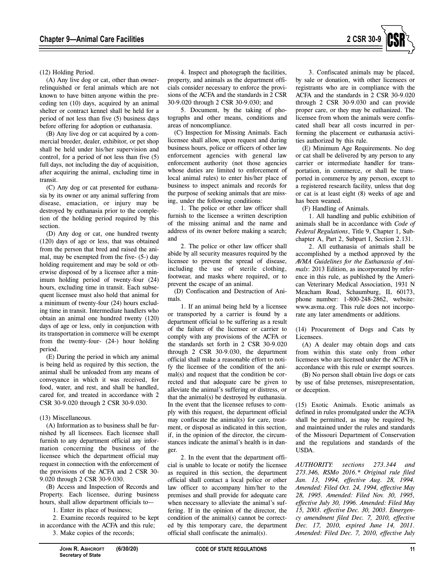

(12) Holding Period.

(A) Any live dog or cat, other than ownerrelinquished or feral animals which are not known to have bitten anyone within the preceding ten (10) days, acquired by an animal shelter or contract kennel shall be held for a period of not less than five (5) business days before offering for adoption or euthanasia.

(B) Any live dog or cat acquired by a commercial breeder, dealer, exhibitor, or pet shop shall be held under his/her supervision and control, for a period of not less than five (5) full days, not including the day of acquisition, after acquiring the animal, excluding time in transit.

(C) Any dog or cat presented for euthanasia by its owner or any animal suffering from disease, emaciation, or injury may be destroyed by euthanasia prior to the completion of the holding period required by this section.

(D) Any dog or cat, one hundred twenty (120) days of age or less, that was obtained from the person that bred and raised the animal, may be exempted from the five- (5-) day holding requirement and may be sold or otherwise disposed of by a licensee after a minimum holding period of twenty-four (24) hours, excluding time in transit. Each subsequent licensee must also hold that animal for a minimum of twenty-four (24) hours excluding time in transit. Intermediate handlers who obtain an animal one hundred twenty (120) days of age or less, only in conjunction with its transportation in commerce will be exempt from the twenty-four- (24-) hour holding period.

(E) During the period in which any animal is being held as required by this section, the animal shall be unloaded from any means of conveyance in which it was received, for food, water, and rest, and shall be handled, cared for, and treated in accordance with 2 CSR 30-9.020 through 2 CSR 30-9.030.

# (13) Miscellaneous.

(A) Information as to business shall be furnished by all licensees. Each licensee shall furnish to any department official any information concerning the business of the licensee which the department official may request in connection with the enforcement of the provisions of the ACFA and 2 CSR 30- 9.020 through 2 CSR 30-9.030.

(B) Access and Inspection of Records and Property. Each licensee, during business hours, shall allow department officials to—

1. Enter its place of business;

2. Examine records required to be kept in accordance with the ACFA and this rule;

3. Make copies of the records;

4. Inspect and photograph the facilities, property, and animals as the department officials consider necessary to enforce the provisions of the ACFA and the standards in 2 CSR 30-9.020 through 2 CSR 30-9.030; and

5. Document, by the taking of photographs and other means, conditions and areas of noncompliance.

(C) Inspection for Missing Animals. Each licensee shall allow, upon request and during business hours, police or officers of other law enforcement agencies with general law enforcement authority (not those agencies whose duties are limited to enforcement of local animal rules) to enter his/her place of business to inspect animals and records for the purpose of seeking animals that are missing, under the following conditions:

1. The police or other law officer shall furnish to the licensee a written description of the missing animal and the name and address of its owner before making a search; and

2. The police or other law officer shall abide by all security measures required by the licensee to prevent the spread of disease, including the use of sterile clothing, footwear, and masks where required, or to prevent the escape of an animal.

(D) Confiscation and Destruction of Animals.

1. If an animal being held by a licensee or transported by a carrier is found by a department official to be suffering as a result of the failure of the licensee or carrier to comply with any provisions of the ACFA or the standards set forth in 2 CSR 30-9.020 through 2 CSR 30-9.030, the department official shall make a reasonable effort to notify the licensee of the condition of the animal(s) and request that the condition be corrected and that adequate care be given to alleviate the animal's suffering or distress, or that the animal(s) be destroyed by euthanasia. In the event that the licensee refuses to comply with this request, the department official may confiscate the animal(s) for care, treatment, or disposal as indicated in this section, if, in the opinion of the director, the circumstances indicate the animal's health is in danger.

2. In the event that the department official is unable to locate or notify the licensee as required in this section, the department official shall contact a local police or other law officer to accompany him/her to the premises and shall provide for adequate care when necessary to alleviate the animal's suffering. If in the opinion of the director, the condition of the animal(s) cannot be corrected by this temporary care, the department official shall confiscate the animal(s).

3. Confiscated animals may be placed, by sale or donation, with other licensees or registrants who are in compliance with the ACFA and the standards in 2 CSR 30-9.020 through 2 CSR 30-9.030 and can provide proper care, or they may be euthanized. The licensee from whom the animals were confiscated shall bear all costs incurred in performing the placement or euthanasia activities authorized by this rule.

(E) Minimum Age Requirements. No dog or cat shall be delivered by any person to any carrier or intermediate handler for transportation, in commerce, or shall be transported in commerce by any person, except to a registered research facility, unless that dog or cat is at least eight (8) weeks of age and has been weaned.

(F) Handling of Animals.

1. All handling and public exhibition of animals shall be in accordance with *Code of Federal Regulations*, Title 9, Chapter 1, Subchapter A, Part 2, Subpart I, Section 2.131.

2. All euthanasia of animals shall be accomplished by a method approved by the *AVMA Guidelines for the Euthanasia of Animals*: 2013 Edition, as incorporated by reference in this rule, as published by the American Veterinary Medical Association, 1931 N Meacham Road, Schaumburg, IL 60173, phone number: 1-800-248-2862, website: www.avma.org. This rule does not incorporate any later amendments or additions.

(14) Procurement of Dogs and Cats by Licensees.

(A) A dealer may obtain dogs and cats from within this state only from other licensees who are licensed under the ACFA in accordance with this rule or exempt sources.

(B) No person shall obtain live dogs or cats by use of false pretenses, misrepresentation, or deception.

(15) Exotic Animals. Exotic animals as defined in rules promulgated under the ACFA shall be permitted, as may be required by, and maintained under the rules and standards of the Missouri Department of Conservation and the regulations and standards of the USDA.

*AUTHORITY: sections 273.344 and 273.346, RSMo 2016.\* Original rule filed Jan. 13, 1994, effective Aug. 28, 1994. Amended: Filed Oct. 24, 1994, effective May 28, 1995. Amended: Filed Nov. 30, 1995, effective July 30, 1996. Amended: Filed May 15, 2003. effective Dec. 30, 2003. Emergency amendment filed Dec. 7, 2010, effective Dec. 17, 2010, expired June 14, 2011. Amended: Filed Dec. 7, 2010, effective July*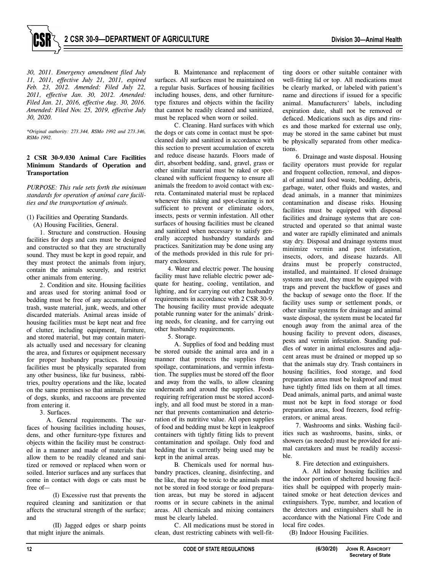

*30, 2011. Emergency amendment filed July 11, 2011, effective July 21, 2011, expired Feb. 23, 2012. Amended: Filed July 22, 2011, effective Jan. 30, 2012. Amended: Filed Jan. 21, 2016, effective Aug. 30, 2016. Amended: Filed Nov. 25, 2019, effective July 30, 2020.* 

*\*Original authority: 273.344, RSMo 1992 and 273.346, RSMo 1992.* 

## **2 CSR 30-9.030 Animal Care Facilities Minimum Standards of Operation and Transportation**

*PURPOSE: This rule sets forth the minimum standards for operation of animal care facilities and the transportation of animals.* 

(1) Facilities and Operating Standards.

(A) Housing Facilities, General.

1. Structure and construction. Housing facilities for dogs and cats must be designed and constructed so that they are structurally sound. They must be kept in good repair, and they must protect the animals from injury, contain the animals securely, and restrict other animals from entering.

2. Condition and site. Housing facilities and areas used for storing animal food or bedding must be free of any accumulation of trash, waste material, junk, weeds, and other discarded materials. Animal areas inside of housing facilities must be kept neat and free of clutter, including equipment, furniture, and stored material, but may contain materials actually used and necessary for cleaning the area, and fixtures or equipment necessary for proper husbandry practices. Housing facilities must be physically separated from any other business, like fur business, rabbitries, poultry operations and the like, located on the same premises so that animals the size of dogs, skunks, and raccoons are prevented from entering it.

3. Surfaces.

A. General requirements. The surfaces of housing facilities including houses, dens, and other furniture-type fixtures and objects within the facility must be constructed in a manner and made of materials that allow them to be readily cleaned and sanitized or removed or replaced when worn or soiled. Interior surfaces and any surfaces that come in contact with dogs or cats must be free of—

(I) Excessive rust that prevents the required cleaning and sanitization or that affects the structural strength of the surface; and

(II) Jagged edges or sharp points that might injure the animals.

B. Maintenance and replacement of surfaces. All surfaces must be maintained on a regular basis. Surfaces of housing facilities including houses, dens, and other furnituretype fixtures and objects within the facility that cannot be readily cleaned and sanitized, must be replaced when worn or soiled.

C. Cleaning. Hard surfaces with which the dogs or cats come in contact must be spotcleaned daily and sanitized in accordance with this section to prevent accumulation of excreta and reduce disease hazards. Floors made of dirt, absorbent bedding, sand, gravel, grass or other similar material must be raked or spotcleaned with sufficient frequency to ensure all animals the freedom to avoid contact with excreta. Contaminated material must be replaced whenever this raking and spot-cleaning is not sufficient to prevent or eliminate odors, insects, pests or vermin infestation. All other surfaces of housing facilities must be cleaned and sanitized when necessary to satisfy generally accepted husbandry standards and practices. Sanitization may be done using any of the methods provided in this rule for primary enclosures.

4. Water and electric power. The housing facility must have reliable electric power adequate for heating, cooling, ventilation, and lighting, and for carrying out other husbandry requirements in accordance with 2 CSR 30-9. The housing facility must provide adequate potable running water for the animals' drinking needs, for cleaning, and for carrying out other husbandry requirements.

5. Storage.

A. Supplies of food and bedding must be stored outside the animal area and in a manner that protects the supplies from spoilage, contaminations, and vermin infestation. The supplies must be stored off the floor and away from the walls, to allow cleaning underneath and around the supplies. Foods requiring refrigeration must be stored accordingly, and all food must be stored in a manner that prevents contamination and deterioration of its nutritive value. All open supplies of food and bedding must be kept in leakproof containers with tightly fitting lids to prevent contamination and spoilage. Only food and bedding that is currently being used may be kept in the animal areas.

B. Chemicals used for normal husbandry practices, cleaning, disinfecting, and the like, that may be toxic to the animals must not be stored in food storage or food preparation areas, but may be stored in adjacent rooms or in secure cabinets in the animal areas. All chemicals and mixing containers must be clearly labeled.

C. All medications must be stored in clean, dust restricting cabinets with well-fitting doors or other suitable container with well-fitting lid or top. All medications must be clearly marked, or labeled with patient's name and directions if issued for a specific animal. Manufacturers' labels, including expiration date, shall not be removed or defaced. Medications such as dips and rinses and those marked for external use only, may be stored in the same cabinet but must be physically separated from other medications.

6. Drainage and waste disposal. Housing facility operators must provide for regular and frequent collection, removal, and disposal of animal and food waste, bedding, debris, garbage, water, other fluids and wastes, and dead animals, in a manner that minimizes contamination and disease risks. Housing facilities must be equipped with disposal facilities and drainage systems that are constructed and operated so that animal waste and water are rapidly eliminated and animals stay dry. Disposal and drainage systems must minimize vermin and pest infestation, insects, odors, and disease hazards. All drains must be properly constructed, installed, and maintained. If closed drainage systems are used, they must be equipped with traps and prevent the backflow of gases and the backup of sewage onto the floor. If the facility uses sump or settlement ponds, or other similar systems for drainage and animal waste disposal, the system must be located far enough away from the animal area of the housing facility to prevent odors, diseases, pests and vermin infestation. Standing puddles of water in animal enclosures and adjacent areas must be drained or mopped up so that the animals stay dry. Trash containers in housing facilities, food storage, and food preparation areas must be leakproof and must have tightly fitted lids on them at all times. Dead animals, animal parts, and animal waste must not be kept in food storage or food preparation areas, food freezers, food refrigerators, or animal areas.

7. Washrooms and sinks. Washing facilities such as washrooms, basins, sinks, or showers (as needed) must be provided for animal caretakers and must be readily accessible.

8. Fire detection and extinguishers.

A. All indoor housing facilities and the indoor portion of sheltered housing facilities shall be equipped with properly maintained smoke or heat detection devices and extinguishers. Type, number, and location of the detectors and extinguishers shall be in accordance with the National Fire Code and local fire codes.

(B) Indoor Housing Facilities.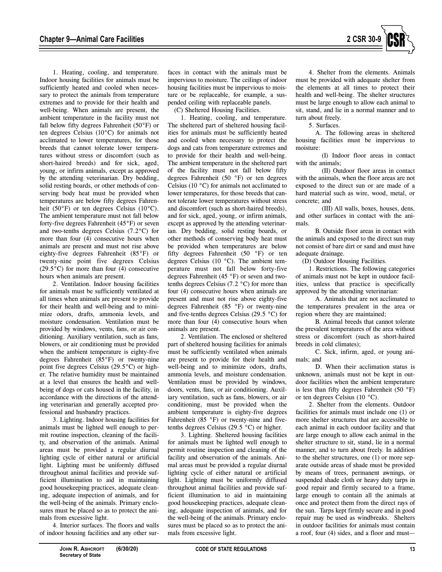

1. Heating, cooling, and temperature. Indoor housing facilities for animals must be sufficiently heated and cooled when necessary to protect the animals from temperature extremes and to provide for their health and well-being. When animals are present, the ambient temperature in the facility must not fall below fifty degrees Fahrenheit (50°F) or ten degrees Celsius (10°C) for animals not acclimated to lower temperatures, for those breeds that cannot tolerate lower temperatures without stress or discomfort (such as short-haired breeds) and for sick, aged, young, or infirm animals, except as approved by the attending veterinarian. Dry bedding, solid resting boards, or other methods of conserving body heat must be provided when temperatures are below fifty degrees Fahrenheit (50 $\degree$ F) or ten degrees Celsius (10 $\degree$ C). The ambient temperature must not fall below forty-five degrees Fahrenheit (45°F) or seven and two-tenths degrees Celsius (7.2°C) for more than four (4) consecutive hours when animals are present and must not rise above eighty-five degrees Fahrenheit (85°F) or twenty-nine point five degrees Celsius  $(29.5\degree C)$  for more than four (4) consecutive hours when animals are present.

2. Ventilation. Indoor housing facilities for animals must be sufficiently ventilated at all times when animals are present to provide for their health and well-being and to minimize odors, drafts, ammonia levels, and moisture condensation. Ventilation must be provided by windows, vents, fans, or air conditioning. Auxiliary ventilation, such as fans, blowers, or air conditioning must be provided when the ambient temperature is eighty-five degrees Fahrenheit (85°F) or twenty-nine point five degrees Celsius (29.5°C) or higher. The relative humidity must be maintained at a level that ensures the health and wellbeing of dogs or cats housed in the facility, in accordance with the directions of the attending veterinarian and generally accepted professional and husbandry practices.

3. Lighting. Indoor housing facilities for animals must be lighted well enough to permit routine inspection, cleaning of the facility, and observation of the animals. Animal areas must be provided a regular diurnal lighting cycle of either natural or artificial light. Lighting must be uniformly diffused throughout animal facilities and provide sufficient illumination to aid in maintaining good housekeeping practices, adequate cleaning, adequate inspection of animals, and for the well-being of the animals. Primary enclosures must be placed so as to protect the animals from excessive light.

4. Interior surfaces. The floors and walls of indoor housing facilities and any other sur-

faces in contact with the animals must be impervious to moisture. The ceilings of indoor housing facilities must be impervious to moisture or be replaceable, for example, a suspended ceiling with replaceable panels.

(C) Sheltered Housing Facilities.

1. Heating, cooling, and temperature. The sheltered part of sheltered housing facilities for animals must be sufficiently heated and cooled when necessary to protect the dogs and cats from temperature extremes and to provide for their health and well-being. The ambient temperature in the sheltered part of the facility must not fall below fifty degrees Fahrenheit (50 °F) or ten degrees Celsius (10 °C) for animals not acclimated to lower temperatures, for those breeds that cannot tolerate lower temperatures without stress and discomfort (such as short-haired breeds), and for sick, aged, young, or infirm animals, except as approved by the attending veterinarian. Dry bedding, solid resting boards, or other methods of conserving body heat must be provided when temperatures are below fifty degrees Fahrenheit (50 °F) or ten degrees Celsius (10 °C). The ambient temperature must not fall below forty-five degrees Fahrenheit (45 °F) or seven and twotenths degrees Celsius (7.2 °C) for more than four (4) consecutive hours when animals are present and must not rise above eighty-five degrees Fahrenheit (85 °F) or twenty-nine and five-tenths degrees Celsius (29.5 °C) for more than four (4) consecutive hours when animals are present.

2. Ventilation. The enclosed or sheltered part of sheltered housing facilities for animals must be sufficiently ventilated when animals are present to provide for their health and well-being and to minimize odors, drafts, ammonia levels, and moisture condensation. Ventilation must be provided by windows, doors, vents, fans, or air conditioning. Auxiliary ventilation, such as fans, blowers, or air conditioning, must be provided when the ambient temperature is eighty-five degrees Fahrenheit (85 °F) or twenty-nine and fivetenths degrees Celsius (29.5 °C) or higher.

3. Lighting. Sheltered housing facilities for animals must be lighted well enough to permit routine inspection and cleaning of the facility and observation of the animals. Animal areas must be provided a regular diurnal lighting cycle of either natural or artificial light. Lighting must be uniformly diffused throughout animal facilities and provide sufficient illumination to aid in maintaining good housekeeping practices, adequate cleaning, adequate inspection of animals, and for the well-being of the animals. Primary enclosures must be placed so as to protect the animals from excessive light.

4. Shelter from the elements. Animals must be provided with adequate shelter from the elements at all times to protect their health and well-being. The shelter structures must be large enough to allow each animal to sit, stand, and lie in a normal manner and to turn about freely.

5. Surfaces.

A. The following areas in sheltered housing facilities must be impervious to moisture:

(I) Indoor floor areas in contact with the animals;

(II) Outdoor floor areas in contact with the animals, when the floor areas are not exposed to the direct sun or are made of a hard material such as wire, wood, metal, or concrete; and

(III) All walls, boxes, houses, dens, and other surfaces in contact with the animals.

B. Outside floor areas in contact with the animals and exposed to the direct sun may not consist of bare dirt or sand and must have adequate drainage.

(D) Outdoor Housing Facilities.

1. Restrictions. The following categories of animals must not be kept in outdoor facilities, unless that practice is specifically approved by the attending veterinarian:

A. Animals that are not acclimated to the temperatures prevalent in the area or region where they are maintained;

B. Animal breeds that cannot tolerate the prevalent temperatures of the area without stress or discomfort (such as short-haired breeds in cold climates);

C. Sick, infirm, aged, or young animals; and

D. When their acclimation status is unknown, animals must not be kept in outdoor facilities when the ambient temperature is less than fifty degrees Fahrenheit (50 °F) or ten degrees Celsius (10 °C).

2. Shelter from the elements. Outdoor facilities for animals must include one (1) or more shelter structures that are accessible to each animal in each outdoor facility and that are large enough to allow each animal in the shelter structure to sit, stand, lie in a normal manner, and to turn about freely. In addition to the shelter structures, one (1) or more separate outside areas of shade must be provided by means of trees, permanent awnings, or suspended shade cloth or heavy duty tarps in good repair and firmly secured to a frame, large enough to contain all the animals at once and protect them from the direct rays of the sun. Tarps kept firmly secure and in good repair may be used as windbreaks. Shelters in outdoor facilities for animals must contain a roof, four (4) sides, and a floor and must—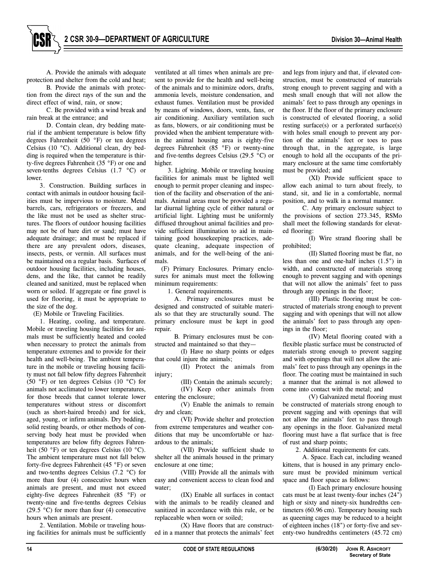A. Provide the animals with adequate protection and shelter from the cold and heat;

B. Provide the animals with protection from the direct rays of the sun and the direct effect of wind, rain, or snow;

C. Be provided with a wind break and rain break at the entrance; and

D. Contain clean, dry bedding material if the ambient temperature is below fifty degrees Fahrenheit ( $50^{\circ}$ F) or ten degrees Celsius (10 °C). Additional clean, dry bedding is required when the temperature is thirty-five degrees Fahrenheit (35 °F) or one and seven-tenths degrees Celsius (1.7 °C) or lower.

3. Construction. Building surfaces in contact with animals in outdoor housing facilities must be impervious to moisture. Metal barrels, cars, refrigerators or freezers, and the like must not be used as shelter structures. The floors of outdoor housing facilities may not be of bare dirt or sand; must have adequate drainage; and must be replaced if there are any prevalent odors, diseases, insects, pests, or vermin. All surfaces must be maintained on a regular basis. Surfaces of outdoor housing facilities, including houses, dens, and the like, that cannot be readily cleaned and sanitized, must be replaced when worn or soiled. If aggregate or fine gravel is used for flooring, it must be appropriate to the size of the dog.

(E) Mobile or Traveling Facilities.

1. Heating, cooling, and temperature. Mobile or traveling housing facilities for animals must be sufficiently heated and cooled when necessary to protect the animals from temperature extremes and to provide for their health and well-being. The ambient temperature in the mobile or traveling housing facility must not fall below fifty degrees Fahrenheit (50 °F) or ten degrees Celsius (10 °C) for animals not acclimated to lower temperatures, for those breeds that cannot tolerate lower temperatures without stress or discomfort (such as short-haired breeds) and for sick, aged, young, or infirm animals. Dry bedding, solid resting boards, or other methods of conserving body heat must be provided when temperatures are below fifty degrees Fahrenheit (50 °F) or ten degrees Celsius (10 °C). The ambient temperature must not fall below forty-five degrees Fahrenheit (45 °F) or seven and two-tenths degrees Celsius (7.2 °C) for more than four (4) consecutive hours when animals are present, and must not exceed eighty-five degrees Fahrenheit (85 °F) or twenty-nine and five-tenths degrees Celsius (29.5  $\degree$ C) for more than four (4) consecutive hours when animals are present.

2. Ventilation. Mobile or traveling housing facilities for animals must be sufficiently ventilated at all times when animals are present to provide for the health and well-being of the animals and to minimize odors, drafts, ammonia levels, moisture condensation, and exhaust fumes. Ventilation must be provided by means of windows, doors, vents, fans, or air conditioning. Auxiliary ventilation such as fans, blowers, or air conditioning must be provided when the ambient temperature within the animal housing area is eighty-five degrees Fahrenheit (85 °F) or twenty-nine and five-tenths degrees Celsius (29.5 °C) or higher.

3. Lighting. Mobile or traveling housing facilities for animals must be lighted well enough to permit proper cleaning and inspection of the facility and observation of the animals. Animal areas must be provided a regular diurnal lighting cycle of either natural or artificial light. Lighting must be uniformly diffused throughout animal facilities and provide sufficient illumination to aid in maintaining good housekeeping practices, adequate cleaning, adequate inspection of animals, and for the well-being of the animals.

(F) Primary Enclosures. Primary enclosures for animals must meet the following minimum requirements:

1. General requirements.

A. Primary enclosures must be designed and constructed of suitable materials so that they are structurally sound. The primary enclosure must be kept in good repair

B. Primary enclosures must be constructed and maintained so that they—

(I) Have no sharp points or edges that could injure the animals;

(II) Protect the animals from injury:

(III) Contain the animals securely;

(IV) Keep other animals from entering the enclosure;

(V) Enable the animals to remain dry and clean;

(VI) Provide shelter and protection from extreme temperatures and weather conditions that may be uncomfortable or hazardous to the animals;

(VII) Provide sufficient shade to shelter all the animals housed in the primary enclosure at one time;

(VIII) Provide all the animals with easy and convenient access to clean food and water;

(IX) Enable all surfaces in contact with the animals to be readily cleaned and sanitized in accordance with this rule, or be replaceable when worn or soiled;

(X) Have floors that are constructed in a manner that protects the animals' feet and legs from injury and that, if elevated construction, must be constructed of materials strong enough to prevent sagging and with a mesh small enough that will not allow the animals' feet to pass through any openings in the floor. If the floor of the primary enclosure is constructed of elevated flooring, a solid resting surface(s) or a perforated surface(s) with holes small enough to prevent any portion of the animals' feet or toes to pass through that, in the aggregate, is large enough to hold all the occupants of the primary enclosure at the same time comfortably must be provided; and

(XI) Provide sufficient space to allow each animal to turn about freely, to stand, sit, and lie in a comfortable, normal position, and to walk in a normal manner.

C. Any primary enclosure subject to the provisions of section 273.345, RSMo shall meet the following standards for elevated flooring:

(I) Wire strand flooring shall be prohibited;

(II) Slatted flooring must be flat, no less than one and one-half inches (1.5") in width, and constructed of materials strong enough to prevent sagging and with openings that will not allow the animals' feet to pass through any openings in the floor;

(III) Plastic flooring must be constructed of materials strong enough to prevent sagging and with openings that will not allow the animals' feet to pass through any openings in the floor;

(IV) Metal flooring coated with a flexible plastic surface must be constructed of materials strong enough to prevent sagging and with openings that will not allow the animals' feet to pass through any openings in the floor. The coating must be maintained in such a manner that the animal is not allowed to come into contact with the metal; and

(V) Galvanized metal flooring must be constructed of materials strong enough to prevent sagging and with openings that will not allow the animals' feet to pass through any openings in the floor. Galvanized metal flooring must have a flat surface that is free of rust and sharp points;

2. Additional requirements for cats.

A. Space. Each cat, including weaned kittens, that is housed in any primary enclosure must be provided minimum vertical space and floor space as follows:

(I) Each primary enclosure housing cats must be at least twenty-four inches (24") high or sixty and ninety-six hundredths centimeters (60.96 cm). Temporary housing such as queening cages may be reduced to a height of eighteen inches (18") or forty-five and seventy-two hundredths centimeters (45.72 cm)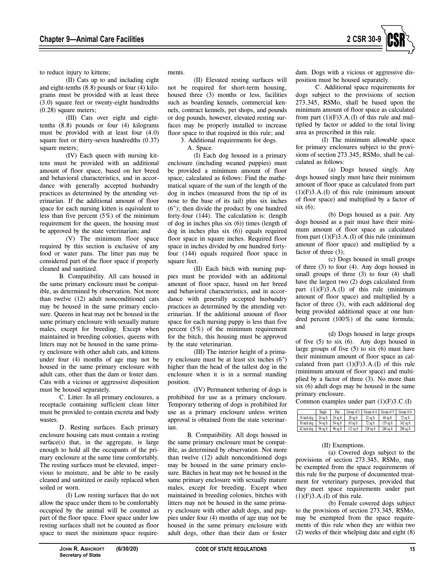

to reduce injury to kittens;

(II) Cats up to and including eight and eight-tenths (8.8) pounds or four (4) kilograms must be provided with at least three (3.0) square feet or twenty-eight hundredths (0.28) square meters;

(III) Cats over eight and eighttenths (8.8) pounds or four (4) kilograms must be provided with at least four (4.0) square feet or thirty-seven hundredths (0.37) square meters;

(IV) Each queen with nursing kittens must be provided with an additional amount of floor space, based on her breed and behavioral characteristics, and in accordance with generally accepted husbandry practices as determined by the attending veterinarian. If the additional amount of floor space for each nursing kitten is equivalent to less than five percent (5%) of the minimum requirement for the queen, the housing must be approved by the state veterinarian; and

(V) The minimum floor space required by this section is exclusive of any food or water pans. The litter pan may be considered part of the floor space if properly cleaned and sanitized.

B. Compatibility. All cats housed in the same primary enclosure must be compatible, as determined by observation. Not more than twelve (12) adult nonconditioned cats may be housed in the same primary enclosure. Queens in heat may not be housed in the same primary enclosure with sexually mature males, except for breeding. Except when maintained in breeding colonies, queens with litters may not be housed in the same primary enclosure with other adult cats, and kittens under four (4) months of age may not be housed in the same primary enclosure with adult cats, other than the dam or foster dam. Cats with a vicious or aggressive disposition must be housed separately.

C. Litter. In all primary enclosures, a receptacle containing sufficient clean litter must be provided to contain excreta and body wastes.

D. Resting surfaces. Each primary enclosure housing cats must contain a resting  $surface(s)$  that, in the aggregate, is large enough to hold all the occupants of the primary enclosure at the same time comfortably. The resting surfaces must be elevated, impervious to moisture, and be able to be easily cleaned and sanitized or easily replaced when soiled or worn.

(I) Low resting surfaces that do not allow the space under them to be comfortably occupied by the animal will be counted as part of the floor space. Floor space under low resting surfaces shall not be counted as floor space to meet the minimum space requirements.

(II) Elevated resting surfaces will not be required for short-term housing, housed three (3) months or less, facilities such as boarding kennels, commercial kennels, contract kennels, pet shops, and pounds or dog pounds, however, elevated resting surfaces may be properly installed to increase floor space to that required in this rule; and

3. Additional requirements for dogs.

A. Space.

(I) Each dog housed in a primary enclosure (including weaned puppies) must be provided a minimum amount of floor space, calculated as follows: Find the mathematical square of the sum of the length of the dog in inches (measured from the tip of its nose to the base of its tail) plus six inches (6"); then divide the product by one hundred forty-four (144). The calculation is: (length of dog in inches plus six (6)) times (length of dog in inches plus six (6)) equals required floor space in square inches. Required floor space in inches divided by one hundred fortyfour (144) equals required floor space in square feet.

(II) Each bitch with nursing puppies must be provided with an additional amount of floor space, based on her breed and behavioral characteristics, and in accordance with generally accepted husbandry practices as determined by the attending veterinarian. If the additional amount of floor space for each nursing puppy is less than five percent (5%) of the minimum requirement for the bitch, this housing must be approved by the state veterinarian.

(III) The interior height of a primary enclosure must be at least six inches (6") higher than the head of the tallest dog in the enclosure when it is in a normal standing position.

(IV) Permanent tethering of dogs is prohibited for use as a primary enclosure. Temporary tethering of dogs is prohibited for use as a primary enclosure unless written approval is obtained from the state veterinarian.

B. Compatibility. All dogs housed in the same primary enclosure must be compatible, as determined by observation. Not more than twelve (12) adult nonconditioned dogs may be housed in the same primary enclosure. Bitches in heat may not be housed in the same primary enclosure with sexually mature males, except for breeding. Except when maintained in breeding colonies, bitches with litters may not be housed in the same primary enclosure with other adult dogs, and puppies under four (4) months of age may not be housed in the same primary enclosure with adult dogs, other than their dam or foster

dam. Dogs with a vicious or aggressive disposition must be housed separately.

C. Additional space requirements for dogs subject to the provisions of section 273.345, RSMo, shall be based upon the minimum amount of floor space as calculated from part  $(1)(F)3.A.(I)$  of this rule and multiplied by factor or added to the total living area as prescribed in this rule.

(I) The minimum allowable space for primary enclosures subject to the provisions of section 273.345, RSMo, shall be calculated as follows:

(a) Dogs housed singly. Any dogs housed singly must have their minimum amount of floor space as calculated from part  $(1)(F)3.A.(I)$  of this rule (minimum amount of floor space) and multiplied by a factor of six (6);

(b) Dogs housed as a pair. Any dogs housed as a pair must have their minimum amount of floor space as calculated from part  $(1)(F)3.A.(I)$  of this rule (minimum amount of floor space) and multiplied by a factor of three (3);

(c) Dogs housed in small groups of three (3) to four (4). Any dogs housed in small groups of three (3) to four (4) shall have the largest two (2) dogs calculated from part  $(1)(F)3.A.(I)$  of this rule (minimum amount of floor space) and multiplied by a factor of three (3), with each additional dog being provided additional space at one hundred percent (100%) of the same formula; and

(d) Dogs housed in large groups of five  $(5)$  to six  $(6)$ . Any dogs housed in large groups of five  $(5)$  to six  $(6)$  must have their minimum amount of floor space as calculated from part  $(1)(F)3.A.(I)$  of this rule (minimum amount of floor space) and multiplied by a factor of three (3). No more than six (6) adult dogs may be housed in the same primary enclosure.

Common examples under part (1)(F)3.C.(I)

|             | Single   | Pair     | Group of 3   | Group of 4  | Group of 5 | Group of 6  |
|-------------|----------|----------|--------------|-------------|------------|-------------|
| 18 inch dog | 24 sq ft | 24 sq ft | $28$ sq $ft$ | $32$ sq ft  | $60$ sa ft | $72$ sa ft  |
| 30 inch dog | 54 sa ft | 54 sa ft | $63$ sq ft   | $72$ sq ft  | 135 sq ft  | $162$ sq ft |
| 42 inch dog | 96 sq ft | 96 sq ft | $112$ sa ft  | $128$ sq ft | 240 sq ft  | 288 sq ft   |

# (II) Exemptions.

(a) Covered dogs subject to the provisions of section 273.345, RSMo, may be exempted from the space requirements of this rule for the purpose of documented treatment for veterinary purposes, provided that they meet space requirements under part  $(1)(F)3.A.(I)$  of this rule.

(b) Female covered dogs subject to the provisions of section 273.345, RSMo, may be exempted from the space requirements of this rule when they are within two (2) weeks of their whelping date and eight (8)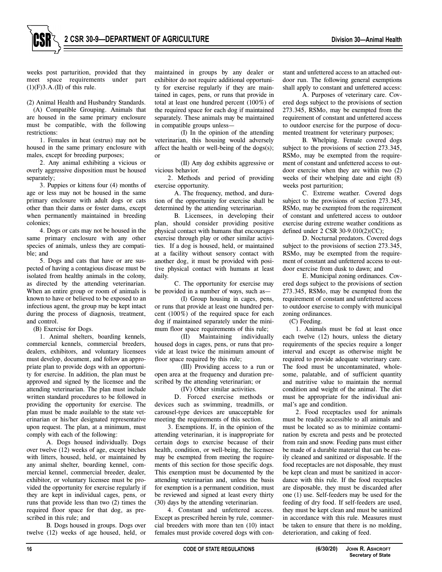

weeks post parturition, provided that they meet space requirements under part  $(1)(F)3.A.(II)$  of this rule.

(2) Animal Health and Husbandry Standards.

(A) Compatible Grouping. Animals that are housed in the same primary enclosure must be compatible, with the following restrictions:

1. Females in heat (estrus) may not be housed in the same primary enclosure with males, except for breeding purposes;

2. Any animal exhibiting a vicious or overly aggressive disposition must be housed separately;

3. Puppies or kittens four (4) months of age or less may not be housed in the same primary enclosure with adult dogs or cats other than their dams or foster dams, except when permanently maintained in breeding colonies;

4. Dogs or cats may not be housed in the same primary enclosure with any other species of animals, unless they are compatible; and

5. Dogs and cats that have or are suspected of having a contagious disease must be isolated from healthy animals in the colony, as directed by the attending veterinarian. When an entire group or room of animals is known to have or believed to be exposed to an infectious agent, the group may be kept intact during the process of diagnosis, treatment, and control.

(B) Exercise for Dogs.

1. Animal shelters, boarding kennels, commercial kennels, commercial breeders, dealers, exhibitors, and voluntary licensees must develop, document, and follow an appropriate plan to provide dogs with an opportunity for exercise. In addition, the plan must be approved and signed by the licensee and the attending veterinarian. The plan must include written standard procedures to be followed in providing the opportunity for exercise. The plan must be made available to the state veterinarian or his/her designated representative upon request. The plan, at a minimum, must comply with each of the following:

A. Dogs housed individually. Dogs over twelve (12) weeks of age, except bitches with litters, housed, held, or maintained by any animal shelter, boarding kennel, commercial kennel, commercial breeder, dealer, exhibitor, or voluntary licensee must be provided the opportunity for exercise regularly if they are kept in individual cages, pens, or runs that provide less than two (2) times the required floor space for that dog, as prescribed in this rule; and

B. Dogs housed in groups. Dogs over twelve (12) weeks of age housed, held, or

maintained in groups by any dealer or exhibitor do not require additional opportunity for exercise regularly if they are maintained in cages, pens, or runs that provide in total at least one hundred percent (100%) of the required space for each dog if maintained separately. These animals may be maintained in compatible groups unless—

(I) In the opinion of the attending veterinarian, this housing would adversely affect the health or well-being of the dogs(s); or

(II) Any dog exhibits aggressive or vicious behavior.

2. Methods and period of providing exercise opportunity.

A. The frequency, method, and duration of the opportunity for exercise shall be determined by the attending veterinarian.

B. Licensees, in developing their plan, should consider providing positive physical contact with humans that encourages exercise through play or other similar activities. If a dog is housed, held, or maintained at a facility without sensory contact with another dog, it must be provided with positive physical contact with humans at least daily.

C. The opportunity for exercise may be provided in a number of ways, such as—

(I) Group housing in cages, pens, or runs that provide at least one hundred percent (100%) of the required space for each dog if maintained separately under the minimum floor space requirements of this rule;

(II) Maintaining individually housed dogs in cages, pens, or runs that provide at least twice the minimum amount of floor space required by this rule;

(III) Providing access to a run or open area at the frequency and duration prescribed by the attending veterinarian; or

(IV) Other similar activities.

D. Forced exercise methods or devices such as swimming, treadmills, or carousel-type devices are unacceptable for meeting the requirements of this section.

3. Exemptions. If, in the opinion of the attending veterinarian, it is inappropriate for certain dogs to exercise because of their health, condition, or well-being, the licensee may be exempted from meeting the requirements of this section for those specific dogs. This exemption must be documented by the attending veterinarian and, unless the basis for exemption is a permanent condition, must be reviewed and signed at least every thirty (30) days by the attending veterinarian.

4. Constant and unfettered access. Except as prescribed herein by rule, commercial breeders with more than ten (10) intact females must provide covered dogs with constant and unfettered access to an attached outdoor run. The following general exemptions shall apply to constant and unfettered access:

A. Purposes of veterinary care. Covered dogs subject to the provisions of section 273.345, RSMo, may be exempted from the requirement of constant and unfettered access to outdoor exercise for the purpose of documented treatment for veterinary purposes;

B. Whelping. Female covered dogs subject to the provisions of section 273.345, RSMo, may be exempted from the requirement of constant and unfettered access to outdoor exercise when they are within two (2) weeks of their whelping date and eight (8) weeks post parturition;

C. Extreme weather. Covered dogs subject to the provisions of section 273.345, RSM<sub>0</sub>, may be exempted from the requirement of constant and unfettered access to outdoor exercise during extreme weather conditions as defined under 2 CSR 30-9.010(2)(CC);

D. Nocturnal predators. Covered dogs subject to the provisions of section 273.345, RSMo, may be exempted from the requirement of constant and unfettered access to outdoor exercise from dusk to dawn; and

E. Municipal zoning ordinances. Covered dogs subject to the provisions of section 273.345, RSMo, may be exempted from the requirement of constant and unfettered access to outdoor exercise to comply with municipal zoning ordinances.

(C) Feeding.

1. Animals must be fed at least once each twelve (12) hours, unless the dietary requirements of the species require a longer interval and except as otherwise might be required to provide adequate veterinary care. The food must be uncontaminated, wholesome, palatable, and of sufficient quantity and nutritive value to maintain the normal condition and weight of the animal. The diet must be appropriate for the individual animal's age and condition.

2. Food receptacles used for animals must be readily accessible to all animals and must be located so as to minimize contamination by excreta and pests and be protected from rain and snow. Feeding pans must either be made of a durable material that can be easily cleaned and sanitized or disposable. If the food receptacles are not disposable, they must be kept clean and must be sanitized in accordance with this rule. If the food receptacles are disposable, they must be discarded after one (1) use. Self-feeders may be used for the feeding of dry food. If self-feeders are used, they must be kept clean and must be sanitized in accordance with this rule. Measures must be taken to ensure that there is no molding, deterioration, and caking of feed.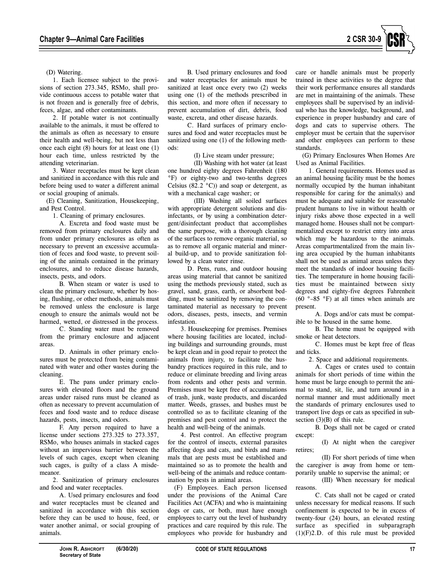

(D) Watering.

1. Each licensee subject to the provisions of section 273.345, RSMo, shall provide continuous access to potable water that is not frozen and is generally free of debris, feces, algae, and other contaminants.

2. If potable water is not continually available to the animals, it must be offered to the animals as often as necessary to ensure their health and well-being, but not less than once each eight (8) hours for at least one (1) hour each time, unless restricted by the attending veterinarian.

3. Water receptacles must be kept clean and sanitized in accordance with this rule and before being used to water a different animal or social grouping of animals.

(E) Cleaning, Sanitization, Housekeeping, and Pest Control.

1. Cleaning of primary enclosures.

A. Excreta and food waste must be removed from primary enclosures daily and from under primary enclosures as often as necessary to prevent an excessive accumulation of feces and food waste, to prevent soiling of the animals contained in the primary enclosures, and to reduce disease hazards, insects, pests, and odors.

B. When steam or water is used to clean the primary enclosure, whether by hosing, flushing, or other methods, animals must be removed unless the enclosure is large enough to ensure the animals would not be harmed, wetted, or distressed in the process.

C. Standing water must be removed from the primary enclosure and adjacent areas.

D. Animals in other primary enclosures must be protected from being contaminated with water and other wastes during the cleaning.

E. The pans under primary enclosures with elevated floors and the ground areas under raised runs must be cleaned as often as necessary to prevent accumulation of feces and food waste and to reduce disease hazards, pests, insects, and odors.

F. Any person required to have a license under sections 273.325 to 273.357, RSMo, who houses animals in stacked cages without an impervious barrier between the levels of such cages, except when cleaning such cages, is guilty of a class A misdemeanor.

2. Sanitization of primary enclosures and food and water receptacles.

A. Used primary enclosures and food and water receptacles must be cleaned and sanitized in accordance with this section before they can be used to house, feed, or water another animal, or social grouping of animals.

B. Used primary enclosures and food and water receptacles for animals must be sanitized at least once every two (2) weeks using one (1) of the methods prescribed in this section, and more often if necessary to prevent accumulation of dirt, debris, food waste, excreta, and other disease hazards.

C. Hard surfaces of primary enclosures and food and water receptacles must be sanitized using one (1) of the following methods:

(I) Live steam under pressure;

(II) Washing with hot water (at least one hundred eighty degrees Fahrenheit (180 °F) or eighty-two and two-tenths degrees Celsius (82.2  $^{\circ}$ C)) and soap or detergent, as with a mechanical cage washer; or

(III) Washing all soiled surfaces with appropriate detergent solutions and disinfectants, or by using a combination detergent/disinfectant product that accomplishes the same purpose, with a thorough cleaning of the surfaces to remove organic material, so as to remove all organic material and mineral build-up, and to provide sanitization followed by a clean water rinse.

D. Pens, runs, and outdoor housing areas using material that cannot be sanitized using the methods previously stated, such as gravel, sand, grass, earth, or absorbent bedding, must be sanitized by removing the contaminated material as necessary to prevent odors, diseases, pests, insects, and vermin infestation.

3. Housekeeping for premises. Premises where housing facilities are located, including buildings and surrounding grounds, must be kept clean and in good repair to protect the animals from injury, to facilitate the husbandry practices required in this rule, and to reduce or eliminate breeding and living areas from rodents and other pests and vermin. Premises must be kept free of accumulations of trash, junk, waste products, and discarded matter. Weeds, grasses, and bushes must be controlled so as to facilitate cleaning of the premises and pest control and to protect the health and well-being of the animals.

4. Pest control. An effective program for the control of insects, external parasites affecting dogs and cats, and birds and mammals that are pests must be established and maintained so as to promote the health and well-being of the animals and reduce contamination by pests in animal areas.

(F) Employees. Each person licensed under the provisions of the Animal Care Facilities Act (ACFA) and who is maintaining dogs or cats, or both, must have enough employees to carry out the level of husbandry practices and care required by this rule. The employees who provide for husbandry and care or handle animals must be properly trained in these activities to the degree that their work performance ensures all standards are met in maintaining of the animals. These employees shall be supervised by an individual who has the knowledge, background, and experience in proper husbandry and care of dogs and cats to supervise others. The employer must be certain that the supervisor and other employees can perform to these standards.

(G) Primary Enclosures When Homes Are Used as Animal Facilities.

1. General requirements. Homes used as an animal housing facility must be the homes normally occupied by the human inhabitant responsible for caring for the animal(s) and must be adequate and suitable for reasonable prudent humans to live in without health or injury risks above those expected in a well managed home. Houses shall not be compartmentalized except to restrict entry into areas which may be hazardous to the animals. Areas compartmentalized from the main living area occupied by the human inhabitants shall not be used as animal areas unless they meet the standards of indoor housing facilities. The temperature in home housing facilities must be maintained between sixty degrees and eighty-five degrees Fahrenheit  $(60^\circ - 85^\circ)$  at all times when animals are present.

A. Dogs and/or cats must be compatible to be housed in the same home.

B. The home must be equipped with smoke or heat detectors.

C. Homes must be kept free of fleas and ticks.

2. Space and additional requirements.

A. Cages or crates used to contain animals for short periods of time within the home must be large enough to permit the animal to stand, sit, lie, and turn around in a normal manner and must additionally meet the standards of primary enclosures used to transport live dogs or cats as specified in subsection (3)(B) of this rule.

B. Dogs shall not be caged or crated except:

(I) At night when the caregiver retires;

(II) For short periods of time when the caregiver is away from home or temporarily unable to supervise the animal; or

(III) When necessary for medical reasons.

C. Cats shall not be caged or crated unless necessary for medical reasons. If such confinement is expected to be in excess of twenty-four (24) hours, an elevated resting surface as specified in subparagraph (1)(F)2.D. of this rule must be provided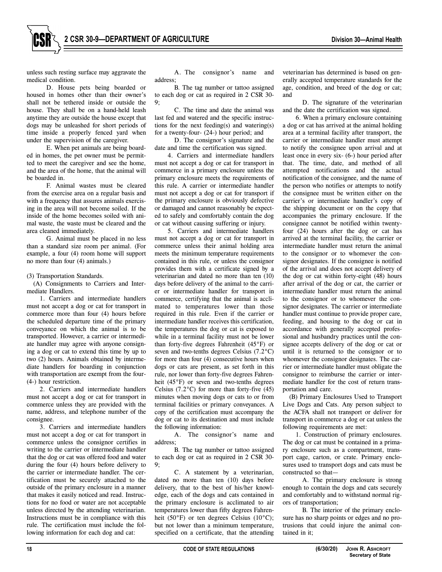unless such resting surface may aggravate the medical condition.

D. House pets being boarded or housed in homes other than their owner's shall not be tethered inside or outside the house. They shall be on a hand-held leash anytime they are outside the house except that dogs may be unleashed for short periods of time inside a properly fenced yard when under the supervision of the caregiver.

E. When pet animals are being boarded in homes, the pet owner must be permitted to meet the caregiver and see the home, and the area of the home, that the animal will be boarded in.

F. Animal wastes must be cleared from the exercise area on a regular basis and with a frequency that assures animals exercising in the area will not become soiled. If the inside of the home becomes soiled with animal waste, the waste must be cleared and the area cleaned immediately.

G. Animal must be placed in no less than a standard size room per animal. (For example, a four (4) room home will support no more than four (4) animals.)

(3) Transportation Standards.

(A) Consignments to Carriers and Intermediate Handlers.

1. Carriers and intermediate handlers must not accept a dog or cat for transport in commerce more than four (4) hours before the scheduled departure time of the primary conveyance on which the animal is to be transported. However, a carrier or intermediate handler may agree with anyone consigning a dog or cat to extend this time by up to two (2) hours. Animals obtained by intermediate handlers for boarding in conjunction with transportation are exempt from the four- (4-) hour restriction.

2. Carriers and intermediate handlers must not accept a dog or cat for transport in commerce unless they are provided with the name, address, and telephone number of the consignee.

3. Carriers and intermediate handlers must not accept a dog or cat for transport in commerce unless the consignor certifies in writing to the carrier or intermediate handler that the dog or cat was offered food and water during the four (4) hours before delivery to the carrier or intermediate handler. The certification must be securely attached to the outside of the primary enclosure in a manner that makes it easily noticed and read. Instructions for no food or water are not acceptable unless directed by the attending veterinarian. Instructions must be in compliance with this rule. The certification must include the following information for each dog and cat:

A. The consignor's name and address;

B. The tag number or tattoo assigned to each dog or cat as required in 2 CSR 30-  $Q$ 

C. The time and date the animal was last fed and watered and the specific instructions for the next feeding(s) and watering(s) for a twenty-four- (24-) hour period; and

D. The consignor's signature and the date and time the certification was signed.

4. Carriers and intermediate handlers must not accept a dog or cat for transport in commerce in a primary enclosure unless the primary enclosure meets the requirements of this rule. A carrier or intermediate handler must not accept a dog or cat for transport if the primary enclosure is obviously defective or damaged and cannot reasonably be expected to safely and comfortably contain the dog or cat without causing suffering or injury.

5. Carriers and intermediate handlers must not accept a dog or cat for transport in commerce unless their animal holding area meets the minimum temperature requirements contained in this rule, or unless the consignor provides them with a certificate signed by a veterinarian and dated no more than ten (10) days before delivery of the animal to the carrier or intermediate handler for transport in commerce, certifying that the animal is acclimated to temperatures lower than those required in this rule. Even if the carrier or intermediate handler receives this certification, the temperatures the dog or cat is exposed to while in a terminal facility must not be lower than forty-five degrees Fahrenheit (45°F) or seven and two-tenths degrees Celsius (7.2°C) for more than four (4) consecutive hours when dogs or cats are present, as set forth in this rule, nor lower than forty-five degrees Fahrenheit (45°F) or seven and two-tenths degrees Celsius  $(7.2^{\circ}$ C) for more than forty-five  $(45)$ minutes when moving dogs or cats to or from terminal facilities or primary conveyances. A copy of the certification must accompany the dog or cat to its destination and must include the following information:

A. The consignor's name and address;

B. The tag number or tattoo assigned to each dog or cat as required in 2 CSR 30- 9;

C. A statement by a veterinarian, dated no more than ten (10) days before delivery, that to the best of his/her knowledge, each of the dogs and cats contained in the primary enclosure is acclimated to air temperatures lower than fifty degrees Fahrenheit (50 $\degree$ F) or ten degrees Celsius (10 $\degree$ C); but not lower than a minimum temperature, specified on a certificate, that the attending

veterinarian has determined is based on generally accepted temperature standards for the age, condition, and breed of the dog or cat; and

D. The signature of the veterinarian and the date the certification was signed.

6. When a primary enclosure containing a dog or cat has arrived at the animal holding area at a terminal facility after transport, the carrier or intermediate handler must attempt to notify the consignee upon arrival and at least once in every six- (6-) hour period after that. The time, date, and method of all attempted notifications and the actual notification of the consignee, and the name of the person who notifies or attempts to notify the consignee must be written either on the carrier's or intermediate handler's copy of the shipping document or on the copy that accompanies the primary enclosure. If the consignee cannot be notified within twentyfour (24) hours after the dog or cat has arrived at the terminal facility, the carrier or intermediate handler must return the animal to the consignor or to whomever the consignor designates. If the consignee is notified of the arrival and does not accept delivery of the dog or cat within forty-eight (48) hours after arrival of the dog or cat, the carrier or intermediate handler must return the animal to the consignor or to whomever the consignor designates. The carrier or intermediate handler must continue to provide proper care, feeding, and housing to the dog or cat in accordance with generally accepted professional and husbandry practices until the consignee accepts delivery of the dog or cat or until it is returned to the consignor or to whomever the consignor designates. The carrier or intermediate handler must obligate the consignor to reimburse the carrier or intermediate handler for the cost of return transportation and care.

(B) Primary Enclosures Used to Transport Live Dogs and Cats. Any person subject to the ACFA shall not transport or deliver for transport in commerce a dog or cat unless the following requirements are met:

1. Construction of primary enclosures. The dog or cat must be contained in a primary enclosure such as a compartment, transport cage, carton, or crate. Primary enclosures used to transport dogs and cats must be constructed so that—

A. The primary enclosure is strong enough to contain the dogs and cats securely and comfortably and to withstand normal rigors of transportation;

B. The interior of the primary enclosure has no sharp points or edges and no protrusions that could injure the animal contained in it;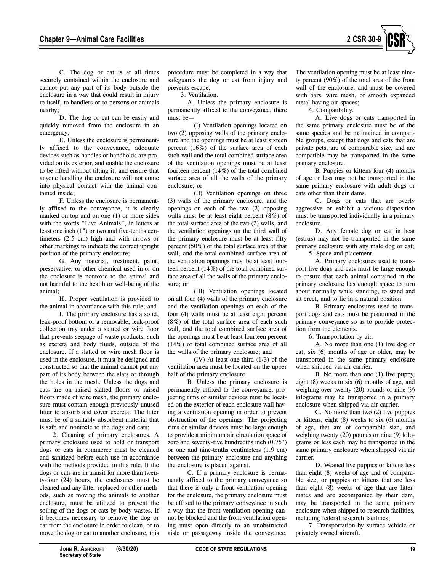

C. The dog or cat is at all times securely contained within the enclosure and cannot put any part of its body outside the enclosure in a way that could result in injury to itself, to handlers or to persons or animals nearby;

D. The dog or cat can be easily and quickly removed from the enclosure in an emergency;

E. Unless the enclosure is permanently affixed to the conveyance, adequate devices such as handles or handholds are provided on its exterior, and enable the enclosure to be lifted without tilting it, and ensure that anyone handling the enclosure will not come into physical contact with the animal contained inside;

F. Unless the enclosure is permanently affixed to the conveyance, it is clearly marked on top and on one (1) or more sides with the words "Live Animals", in letters at least one inch (1") or two and five-tenths centimeters (2.5 cm) high and with arrows or other markings to indicate the correct upright position of the primary enclosure;

G. Any material, treatment, paint, preservative, or other chemical used in or on the enclosure is nontoxic to the animal and not harmful to the health or well-being of the animal;

H. Proper ventilation is provided to the animal in accordance with this rule; and

I. The primary enclosure has a solid, leak-proof bottom or a removable, leak-proof collection tray under a slatted or wire floor that prevents seepage of waste products, such as excreta and body fluids, outside of the enclosure. If a slatted or wire mesh floor is used in the enclosure, it must be designed and constructed so that the animal cannot put any part of its body between the slats or through the holes in the mesh. Unless the dogs and cats are on raised slatted floors or raised floors made of wire mesh, the primary enclosure must contain enough previously unused litter to absorb and cover excreta. The litter must be of a suitably absorbent material that is safe and nontoxic to the dogs and cats;

2. Cleaning of primary enclosures. A primary enclosure used to hold or transport dogs or cats in commerce must be cleaned and sanitized before each use in accordance with the methods provided in this rule. If the dogs or cats are in transit for more than twenty-four (24) hours, the enclosures must be cleaned and any litter replaced or other methods, such as moving the animals to another enclosure, must be utilized to prevent the soiling of the dogs or cats by body wastes. If it becomes necessary to remove the dog or cat from the enclosure in order to clean, or to move the dog or cat to another enclosure, this procedure must be completed in a way that safeguards the dog or cat from injury and prevents escape;

3. Ventilation.

A. Unless the primary enclosure is permanently affixed to the conveyance, there must be—

(I) Ventilation openings located on two (2) opposing walls of the primary enclosure and the openings must be at least sixteen percent (16%) of the surface area of each such wall and the total combined surface area of the ventilation openings must be at least fourteen percent (14%) of the total combined surface area of all the walls of the primary enclosure; or

(II) Ventilation openings on three (3) walls of the primary enclosure, and the openings on each of the two (2) opposing walls must be at least eight percent (8%) of the total surface area of the two (2) walls, and the ventilation openings on the third wall of the primary enclosure must be at least fifty percent (50%) of the total surface area of that wall, and the total combined surface area of the ventilation openings must be at least fourteen percent (14%) of the total combined surface area of all the walls of the primary enclosure; or

(III) Ventilation openings located on all four (4) walls of the primary enclosure and the ventilation openings on each of the four (4) walls must be at least eight percent (8%) of the total surface area of each such wall, and the total combined surface area of the openings must be at least fourteen percent (14%) of total combined surface area of all the walls of the primary enclosure; and

(IV) At least one-third (1/3) of the ventilation area must be located on the upper half of the primary enclosure.

B. Unless the primary enclosure is permanently affixed to the conveyance, projecting rims or similar devices must be located on the exterior of each enclosure wall having a ventilation opening in order to prevent obstruction of the openings. The projecting rims or similar devices must be large enough to provide a minimum air circulation space of zero and seventy-five hundredths inch (0.75") or one and nine-tenths centimeters (1.9 cm) between the primary enclosure and anything the enclosure is placed against.

C. If a primary enclosure is permanently affixed to the primary conveyance so that there is only a front ventilation opening for the enclosure, the primary enclosure must be affixed to the primary conveyance in such a way that the front ventilation opening cannot be blocked and the front ventilation opening must open directly to an unobstructed aisle or passageway inside the conveyance.

The ventilation opening must be at least ninety percent (90%) of the total area of the front wall of the enclosure, and must be covered with bars, wire mesh, or smooth expanded metal having air spaces;

4. Compatibility.

A. Live dogs or cats transported in the same primary enclosure must be of the same species and be maintained in compatible groups, except that dogs and cats that are private pets, are of comparable size, and are compatible may be transported in the same primary enclosure.

B. Puppies or kittens four (4) months of age or less may not be transported in the same primary enclosure with adult dogs or cats other than their dams.

C. Dogs or cats that are overly aggressive or exhibit a vicious disposition must be transported individually in a primary enclosure.

D. Any female dog or cat in heat (estrus) may not be transported in the same primary enclosure with any male dog or cat; 5. Space and placement.

A. Primary enclosures used to transport live dogs and cats must be large enough

to ensure that each animal contained in the primary enclosure has enough space to turn about normally while standing, to stand and sit erect, and to lie in a natural position.

B. Primary enclosures used to transport dogs and cats must be positioned in the primary conveyance so as to provide protection from the elements.

6. Transportation by air.

A. No more than one (1) live dog or cat, six (6) months of age or older, may be transported in the same primary enclosure when shipped via air carrier.

B. No more than one (1) live puppy, eight (8) weeks to six (6) months of age, and weighing over twenty (20) pounds or nine (9) kilograms may be transported in a primary enclosure when shipped via air carrier.

C. No more than two (2) live puppies or kittens, eight (8) weeks to six (6) months of age, that are of comparable size, and weighing twenty (20) pounds or nine (9) kilograms or less each may be transported in the same primary enclosure when shipped via air carrier.

D. Weaned live puppies or kittens less than eight (8) weeks of age and of comparable size, or puppies or kittens that are less than eight (8) weeks of age that are littermates and are accompanied by their dam, may be transported in the same primary enclosure when shipped to research facilities, including federal research facilities;

7. Transportation by surface vehicle or privately owned aircraft.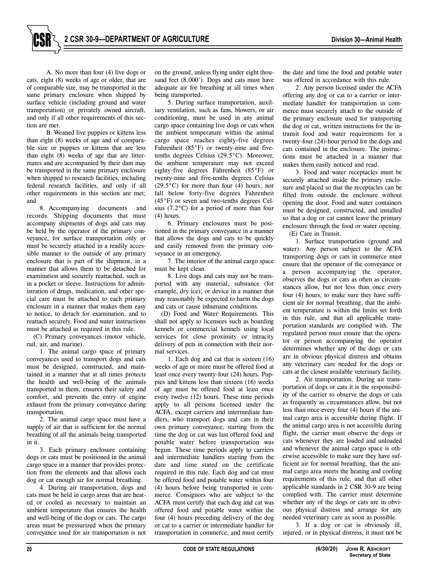A. No more than four (4) live dogs or cats, eight (8) weeks of age or older, that are of comparable size, may be transported in the same primary enclosure when shipped by surface vehicle (including ground and water transportation) or privately owned aircraft, and only if all other requirements of this section are met.

B. Weaned live puppies or kittens less than eight (8) weeks of age and of comparable size or puppies or kittens that are less than eight (8) weeks of age that are littermates and are accompanied by their dam may be transported in the same primary enclosure when shipped to research facilities, including federal research facilities, and only if all other requirements in this section are met; and

8. Accompanying documents and records. Shipping documents that must accompany shipments of dogs and cats may be held by the operator of the primary conveyance, for surface transportation only or must be securely attached in a readily accessible manner to the outside of any primary enclosure that is part of the shipment, in a manner that allows them to be detached for examination and securely reattached, such as in a pocket or sleeve. Instructions for administration of drugs, medication, and other special care must be attached to each primary enclosure in a manner that makes them easy to notice, to detach for examination, and to reattach securely. Food and water instructions must be attached as required in this rule.

(C) Primary conveyances (motor vehicle, rail, air, and marine).

1. The animal cargo space of primary conveyances used to transport dogs and cats must be designed, constructed, and maintained in a manner that at all times protects the health and well-being of the animals transported in them, ensures their safety and comfort, and prevents the entry of engine exhaust from the primary conveyance during transportation.

2. The animal cargo space must have a supply of air that is sufficient for the normal breathing of all the animals being transported in it.

3. Each primary enclosure containing dogs or cats must be positioned in the animal cargo space in a manner that provides protection from the elements and that allows each dog or cat enough air for normal breathing.

4. During air transportation, dogs and cats must be held in cargo areas that are heated or cooled as necessary to maintain an ambient temperature that ensures the health and well-being of the dogs or cats. The cargo areas must be pressurized when the primary conveyance used for air transportation is not on the ground, unless flying under eight thousand feet (8,000'). Dogs and cats must have adequate air for breathing at all times when being transported.

5. During surface transportation, auxiliary ventilation, such as fans, blowers, or air conditioning, must be used in any animal cargo space containing live dogs or cats when the ambient temperature within the animal cargo space reaches eighty-five degrees Fahrenheit (85°F) or twenty-nine and fivetenths degrees Celsius (29.5°C). Moreover, the ambient temperature may not exceed eighty-five degrees Fahrenheit (85°F) or twenty-nine and five-tenths degrees Celsius  $(29.5\degree C)$  for more than four (4) hours; nor fall below forty-five degrees Fahrenheit (45°F) or seven and two-tenths degrees Celsius (7.2°C) for a period of more than four (4) hours.

6. Primary enclosures must be positioned in the primary conveyance in a manner that allows the dogs and cats to be quickly and easily removed from the primary conveyance in an emergency.

7. The interior of the animal cargo space must be kept clean.

8. Live dogs and cats may not be transported with any material, substance (for example, dry ice), or device in a manner that may reasonably be expected to harm the dogs and cats or cause inhumane conditions.

(D) Food and Water Requirements. This shall not apply to licensees such as boarding kennels or commercial kennels using local services for close proximity or intracity delivery of pets in connection with their normal services.

1. Each dog and cat that is sixteen (16) weeks of age or more must be offered food at least once every twenty-four (24) hours. Puppies and kittens less than sixteen (16) weeks of age must be offered food at least once every twelve (12) hours. These time periods apply to all persons licensed under the ACFA, except carriers and intermediate handlers, who transport dogs and cats in their own primary conveyance, starting from the time the dog or cat was last offered food and potable water before transportation was begun. These time periods apply to carriers and intermediate handlers starting from the date and time stated on the certificate required in this rule. Each dog and cat must be offered food and potable water within four (4) hours before being transported in commerce. Consignors who are subject to the ACFA must certify that each dog and cat was offered food and potable water within the four (4) hours preceding delivery of the dog or cat to a carrier or intermediate handler for transportation in commerce, and must certify

the date and time the food and potable water was offered in accordance with this rule.

2. Any person licensed under the ACFA offering any dog or cat to a carrier or intermediate handler for transportation in commerce must securely attach to the outside of the primary enclosure used for transporting the dog or cat, written instructions for the intransit food and water requirements for a twenty-four (24)-hour period for the dogs and cats contained in the enclosure. The instructions must be attached in a manner that makes them easily noticed and read.

3. Food and water receptacles must be securely attached inside the primary enclosure and placed so that the receptacles can be filled from outside the enclosure without opening the door. Food and water containers must be designed, constructed, and installed so that a dog or cat cannot leave the primary enclosure through the food or water opening.

(E) Care in Transit.

1. Surface transportation (ground and water). Any person subject to the ACFA transporting dogs or cats in commerce must ensure that the operator of the conveyance or a person accompanying the operator, observes the dogs or cats as often as circumstances allow, but not less than once every four (4) hours, to make sure they have sufficient air for normal breathing, that the ambient temperature is within the limits set forth in this rule, and that all applicable transportation standards are complied with. The regulated person must ensure that the operator or person accompanying the operator determines whether any of the dogs or cats are in obvious physical distress and obtains any veterinary care needed for the dogs or cats at the closest available veterinary facility.

2. Air transportation. During air transportation of dogs or cats it is the responsibility of the carrier to observe the dogs or cats as frequently as circumstances allow, but not less than once every four (4) hours if the animal cargo area is accessible during flight. If the animal cargo area is not accessible during flight, the carrier must observe the dogs or cats whenever they are loaded and unloaded and whenever the animal cargo space is otherwise accessible to make sure they have sufficient air for normal breathing, that the animal cargo area meets the heating and cooling requirements of this rule, and that all other applicable standards in 2 CSR 30-9 are being complied with. The carrier must determine whether any of the dogs or cats are in obvious physical distress and arrange for any needed veterinary care as soon as possible.

3. If a dog or cat is obviously ill, injured, or in physical distress, it must not be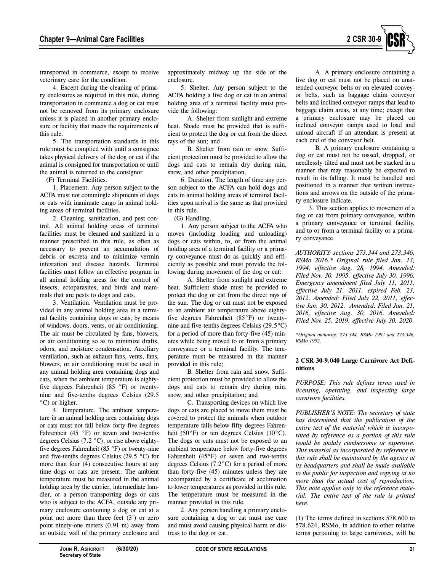

transported in commerce, except to receive veterinary care for the condition.

4. Except during the cleaning of primary enclosures as required in this rule, during transportation in commerce a dog or cat must not be removed from its primary enclosure unless it is placed in another primary enclosure or facility that meets the requirements of this rule.

5. The transportation standards in this rule must be complied with until a consignee takes physical delivery of the dog or cat if the animal is consigned for transportation or until the animal is returned to the consignor.

(F) Terminal Facilities.

1. Placement. Any person subject to the ACFA must not commingle shipments of dogs or cats with inanimate cargo in animal holding areas of terminal facilities.

2. Cleaning, sanitization, and pest control. All animal holding areas of terminal facilities must be cleaned and sanitized in a manner prescribed in this rule, as often as necessary to prevent an accumulation of debris or excreta and to minimize vermin infestation and disease hazards. Terminal facilities must follow an effective program in all animal holding areas for the control of insects, ectoparasites, and birds and mammals that are pests to dogs and cats.

3. Ventilation. Ventilation must be provided in any animal holding area in a terminal facility containing dogs or cats, by means of windows, doors, vents, or air conditioning. The air must be circulated by fans, blowers, or air conditioning so as to minimize drafts, odors, and moisture condensation. Auxiliary ventilation, such as exhaust fans, vents, fans, blowers, or air conditioning must be used in any animal holding area containing dogs and cats, when the ambient temperature is eightyfive degrees Fahrenheit (85 °F) or twentynine and five-tenths degrees Celsius (29.5 °C) or higher.

4. Temperature. The ambient temperature in an animal holding area containing dogs or cats must not fall below forty-five degrees Fahrenheit (45 °F) or seven and two-tenths degrees Celsius (7.2 °C), or rise above eightyfive degrees Fahrenheit (85 °F) or twenty-nine and five-tenths degrees Celsius (29.5 °C) for more than four (4) consecutive hours at any time dogs or cats are present. The ambient temperature must be measured in the animal holding area by the carrier, intermediate handler, or a person transporting dogs or cats who is subject to the ACFA, outside any primary enclosure containing a dog or cat at a point not more than three feet (3') or zero point ninety-one meters (0.91 m) away from an outside wall of the primary enclosure and

approximately midway up the side of the enclosure.

5. Shelter. Any person subject to the ACFA holding a live dog or cat in an animal holding area of a terminal facility must provide the following:

A. Shelter from sunlight and extreme heat. Shade must be provided that is sufficient to protect the dog or cat from the direct rays of the sun; and

B. Shelter from rain or snow. Sufficient protection must be provided to allow the dogs and cats to remain dry during rain, snow, and other precipitation.

6. Duration. The length of time any person subject to the ACFA can hold dogs and cats in animal holding areas of terminal facilities upon arrival is the same as that provided in this rule.

(G) Handling.

1. Any person subject to the ACFA who moves (including loading and unloading) dogs or cats within, to, or from the animal holding area of a terminal facility or a primary conveyance must do as quickly and efficiently as possible and must provide the following during movement of the dog or cat:

A. Shelter from sunlight and extreme heat. Sufficient shade must be provided to protect the dog or cat from the direct rays of the sun. The dog or cat must not be exposed to an ambient air temperature above eightyfive degrees Fahrenheit (85°F) or twentynine and five-tenths degrees Celsius (29.5°C) for a period of more than forty-five (45) minutes while being moved to or from a primary conveyance or a terminal facility. The temperature must be measured in the manner provided in this rule;

B. Shelter from rain and snow. Sufficient protection must be provided to allow the dogs and cats to remain dry during rain, snow, and other precipitation; and

C. Transporting devices on which live dogs or cats are placed to move them must be covered to protect the animals when outdoor temperature falls below fifty degrees Fahrenheit (50°F) or ten degrees Celsius (10°C). The dogs or cats must not be exposed to an ambient temperature below forty-five degrees Fahrenheit (45°F) or seven and two-tenths degrees Celsius (7.2°C) for a period of more than forty-five (45) minutes unless they are accompanied by a certificate of acclimation to lower temperatures as provided in this rule. The temperature must be measured in the manner provided in this rule.

2. Any person handling a primary enclosure containing a dog or cat must use care and must avoid causing physical harm or distress to the dog or cat.

A. A primary enclosure containing a live dog or cat must not be placed on unattended conveyor belts or on elevated conveyor belts, such as baggage claim conveyor belts and inclined conveyor ramps that lead to baggage claim areas, at any time; except that a primary enclosure may be placed on inclined conveyor ramps used to load and unload aircraft if an attendant is present at each end of the conveyor belt.

B. A primary enclosure containing a dog or cat must not be tossed, dropped, or needlessly tilted and must not be stacked in a manner that may reasonably be expected to result in its falling. It must be handled and positioned in a manner that written instructions and arrows on the outside of the primary enclosure indicate.

3. This section applies to movement of a dog or cat from primary conveyance, within a primary conveyance or terminal facility, and to or from a terminal facility or a primary conveyance.

*AUTHORITY: sections 273.344 and 273.346, RSMo 2016.\* Original rule filed Jan. 13, 1994, effective Aug. 28, 1994. Amended: Filed Nov. 30, 1995, effective July 30, 1996. Emergency amendment filed July 11, 2011, effective July 21, 2011, expired Feb. 23, 2012. Amended: Filed July 22, 2011, effective Jan. 30, 2012. Amended: Filed Jan. 21, 2016, effective Aug. 30, 2016. Amended: Filed Nov. 25, 2019, effective July 30, 2020.* 

*\*Original authority: 273.344, RSMo 1992 and 273.346, RSMo 1992.* 

# **2 CSR 30-9.040 Large Carnivore Act Definitions**

*PURPOSE: This rule defines terms used in licensing, operating, and inspecting large carnivore facilities.* 

*PUBLISHER'S NOTE: The secretary of state has determined that the publication of the entire text of the material which is incorporated by reference as a portion of this rule would be unduly cumbersome or expensive. This material as incorporated by reference in this rule shall be maintained by the agency at its headquarters and shall be made available to the public for inspection and copying at no more than the actual cost of reproduction. This note applies only to the reference material. The entire text of the rule is printed here.* 

(1) The terms defined in sections 578.600 to 578.624, RSMo, in addition to other relative terms pertaining to large carnivores, will be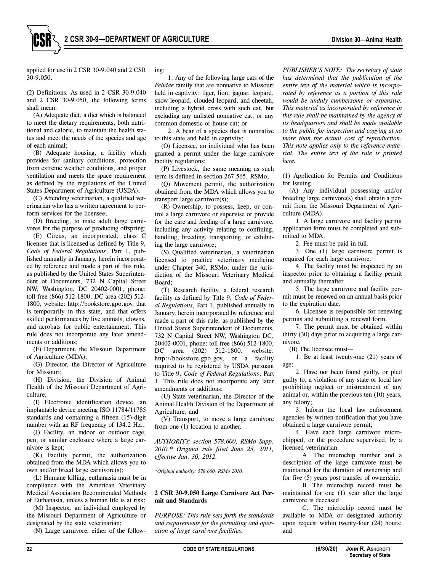applied for use in 2 CSR 30-9.040 and 2 CSR 30-9.050.

(2) Definitions. As used in 2 CSR 30-9.040 and 2 CSR 30-9.050, the following terms shall mean:

(A) Adequate diet, a diet which is balanced to meet the dietary requirements, both nutritional and caloric, to maintain the health status and meet the needs of the species and age of each animal;

(B) Adequate housing, a facility which provides for sanitary conditions, protection from extreme weather conditions, and proper ventilation and meets the space requirement as defined by the regulations of the United States Department of Agriculture (USDA);

(C) Attending veterinarian, a qualified veterinarian who has a written agreement to perform services for the licensee;

(D) Breeding, to mate adult large carnivores for the purpose of producing offspring;

(E) Circus, an incorporated, class C licensee that is licensed as defined by Title 9, *Code of Federal Regulations*, Part 1, published annually in January, herein incorporated by reference and made a part of this rule, as published by the United States Superintendent of Documents, 732 N Capital Street NW, Washington, DC 20402-0001, phone: toll free (866) 512-1800, DC area (202) 512- 1800, website: http://bookstore.gpo.gov, that is temporarily in this state, and that offers skilled performances by live animals, clowns, and acrobats for public entertainment. This rule does not incorporate any later amendments or additions:

(F) Department, the Missouri Department of Agriculture (MDA);

(G) Director, the Director of Agriculture for Missouri;

(H) Division, the Division of Animal Health of the Missouri Department of Agriculture;

(I) Electronic identification device, an implantable device meeting ISO 11784/11785 standards and containing a fifteen (15)-digit number with an RF frequency of 134.2 Hz.;

(J) Facility, an indoor or outdoor cage, pen, or similar enclosure where a large carnivore is kept;

(K) Facility permit, the authorization obtained from the MDA which allows you to own and/or breed large carnivore(s);

(L) Humane killing, euthanasia must be in compliance with the American Veterinary Medical Association Recommended Methods of Euthanasia, unless a human life is at risk;

(M) Inspector, an individual employed by the Missouri Department of Agriculture or designated by the state veterinarian;

(N) Large carnivore, either of the follow-

ing:

1. Any of the following large cats of the *Felidae* family that are nonnative to Missouri held in captivity: tiger, lion, jaguar, leopard, snow leopard, clouded leopard, and cheetah, including a hybrid cross with such cat, but excluding any unlisted nonnative cat, or any common domestic or house cat; or

2. A bear of a species that is nonnative to this state and held in captivity;

(O) Licensee, an individual who has been granted a permit under the large carnivore facility regulations;

(P) Livestock, the same meaning as such term is defined in section 267.565, RSMo;

(Q) Movement permit, the authorization obtained from the MDA which allows you to transport large carnivore(s);

(R) Ownership, to possess, keep, or control a large carnivore or supervise or provide for the care and feeding of a large carnivore, including any activity relating to confining, handling, breeding, transporting, or exhibiting the large carnivore;

(S) Qualified veterinarian, a veterinarian licensed to practice veterinary medicine under Chapter 340, RSMo, under the jurisdiction of the Missouri Veterinary Medical Board;

(T) Research facility, a federal research facility as defined by Title 9, *Code of Federal Regulations*, Part 1, published annually in January, herein incorporated by reference and made a part of this rule, as published by the United States Superintendent of Documents, 732 N Capital Street NW, Washington DC, 20402-0001, phone: toll free (866) 512-1800, DC area (202) 512-1800, website: http://bookstore.gpo.gov, or a facility required to be registered by USDA pursuant to Title 9, *Code of Federal Regulations*, Part 1. This rule does not incorporate any later amendments or additions;

(U) State veterinarian, the Director of the Animal Health Division of the Department of Agriculture; and

(V) Transport, to move a large carnivore from one (1) location to another.

*AUTHORITY: section 578.600, RSMo Supp. 2010.\* Original rule filed June 23, 2011, effective Jan. 30, 2012.* 

*\*Original authority: 578.600, RSMo 2010.* 

#### **2 CSR 30-9.050 Large Carnivore Act Permit and Standards**

*PURPOSE: This rule sets forth the standards and requirements for the permitting and operation of large carnivore facilities.* 

*PUBLISHER'S NOTE: The secretary of state has determined that the publication of the entire text of the material which is incorporated by reference as a portion of this rule would be unduly cumbersome or expensive. This material as incorporated by reference in this rule shall be maintained by the agency at its headquarters and shall be made available to the public for inspection and copying at no more than the actual cost of reproduction. This note applies only to the reference material. The entire text of the rule is printed here.*

(1) Application for Permits and Conditions for Issuing.

(A) Any individual possessing and/or breeding large carnivore(s) shall obtain a permit from the Missouri Department of Agriculture (MDA).

1. A large carnivore and facility permit application form must be completed and submitted to MDA.

2. Fee must be paid in full.

3. One (1) large carnivore permit is required for each large carnivore.

4. The facility must be inspected by an inspector prior to obtaining a facility permit and annually thereafter.

5. The large carnivore and facility permit must be renewed on an annual basis prior to the expiration date.

6. Licensee is responsible for renewing permits and submitting a renewal form.

7. The permit must be obtained within thirty (30) days prior to acquiring a large carnivore.

(B) The licensee must—

1. Be at least twenty-one (21) years of age;

2. Have not been found guilty, or pled guilty to, a violation of any state or local law prohibiting neglect or mistreatment of any animal or, within the previous ten (10) years, any felony;

3. Inform the local law enforcement agencies by written notification that you have obtained a large carnivore permit;

4. Have each large carnivore microchipped, or the procedure supervised, by a licensed veterinarian.

A. The microchip number and a description of the large carnivore must be maintained for the duration of ownership and for five (5) years post transfer of ownership.

B. The microchip record must be maintained for one (1) year after the large carnivore is deceased.

C. The microchip record must be available to MDA or designated authority upon request within twenty-four (24) hours; and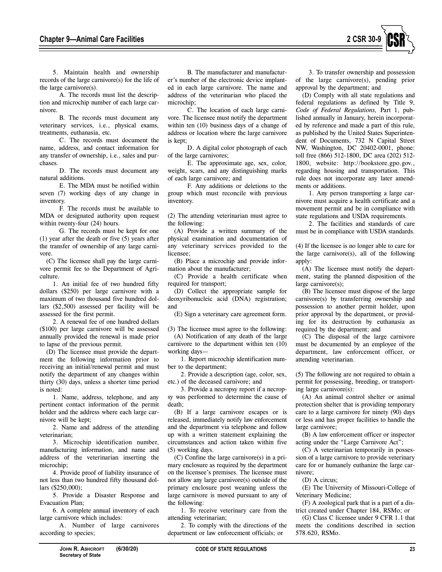

5. Maintain health and ownership records of the large carnivore(s) for the life of the large carnivore(s).

A. The records must list the description and microchip number of each large carnivore.

B. The records must document any veterinary services, i.e., physical exams, treatments, euthanasia, etc.

C. The records must document the name, address, and contact information for any transfer of ownership, i.e., sales and purchases.

D. The records must document any natural additions.

E. The MDA must be notified within seven (7) working days of any change in inventory.

F. The records must be available to MDA or designated authority upon request within twenty-four (24) hours.

G. The records must be kept for one (1) year after the death or five (5) years after the transfer of ownership of any large carnivore.

(C) The licensee shall pay the large carnivore permit fee to the Department of Agriculture.

1. An initial fee of two hundred fifty dollars (\$250) per large carnivore with a maximum of two thousand five hundred dollars (\$2,500) assessed per facility will be assessed for the first permit.

2. A renewal fee of one hundred dollars (\$100) per large carnivore will be assessed annually provided the renewal is made prior to lapse of the previous permit.

(D) The licensee must provide the department the following information prior to receiving an initial/renewal permit and must notify the department of any changes within thirty (30) days, unless a shorter time period is noted:

1. Name, address, telephone, and any pertinent contact information of the permit holder and the address where each large carnivore will be kept;

2. Name and address of the attending veterinarian;

3. Microchip identification number, manufacturing information, and name and address of the veterinarian inserting the microchip;

4. Provide proof of liability insurance of not less than two hundred fifty thousand dollars (\$250,000);

5. Provide a Disaster Response and Evacuation Plan;

6. A complete annual inventory of each large carnivore which includes:

A. Number of large carnivores according to species;

B. The manufacturer and manufacturer's number of the electronic device implanted in each large carnivore. The name and address of the veterinarian who placed the microchip;

C. The location of each large carnivore. The licensee must notify the department within ten (10) business days of a change of address or location where the large carnivore is kept;

D. A digital color photograph of each of the large carnivores;

E. The approximate age, sex, color, weight, scars, and any distinguishing marks of each large carnivore; and

F. Any additions or deletions to the group which must reconcile with previous inventory.

(2) The attending veterinarian must agree to the following:

(A) Provide a written summary of the physical examination and documentation of any veterinary services provided to the licensee;

(B) Place a microchip and provide information about the manufacturer;

(C) Provide a health certificate when required for transport;

(D) Collect the appropriate sample for deoxyribonucleic acid (DNA) registration; and

(E) Sign a veterinary care agreement form.

(3) The licensee must agree to the following: (A) Notification of any death of the large carnivore to the department within ten (10) working days—

1. Report microchip identification number to the department;

2. Provide a description (age, color, sex, etc.) of the deceased carnivore; and

3. Provide a necropsy report if a necropsy was performed to determine the cause of death;

(B) If a large carnivore escapes or is released, immediately notify law enforcement and the department via telephone and follow up with a written statement explaining the circumstances and action taken within five (5) working days.

(C) Confine the large carnivore(s) in a primary enclosure as required by the department on the licensee's premises. The licensee must not allow any large carnivore(s) outside of the primary enclosure post weaning unless the large carnivore is moved pursuant to any of the following:

1. To receive veterinary care from the attending veterinarian;

2. To comply with the directions of the department or law enforcement officials; or

3. To transfer ownership and possession of the large carnivore(s), pending prior approval by the department; and

(D) Comply with all state regulations and federal regulations as defined by Title 9, *Code of Federal Regulations,* Part 1, published annually in January, herein incorporated by reference and made a part of this rule, as published by the United States Superintendent of Documents, 732 N Capital Street NW, Washington, DC 20402-0001, phone: toll free (866) 512-1800, DC area (202) 512- 1800, website: http://bookstore.gpo.gov., regarding housing and transportation. This rule does not incorporate any later amendments or additions.

1. Any person transporting a large carnivore must acquire a health certificate and a movement permit and be in compliance with state regulations and USDA requirements.

2. The facilities and standards of care must be in compliance with USDA standards.

(4) If the licensee is no longer able to care for the large carnivore(s), all of the following apply:

(A) The licensee must notify the department, stating the planned disposition of the large carnivore(s);

(B) The licensee must dispose of the large carnivore(s) by transferring ownership and possession to another permit holder, upon prior approval by the department, or providing for its destruction by euthanasia as required by the department; and

(C) The disposal of the large carnivore must be documented by an employee of the department, law enforcement officer, or attending veterinarian.

(5) The following are not required to obtain a permit for possessing, breeding, or transporting large carnivore(s):

(A) An animal control shelter or animal protection shelter that is providing temporary care to a large carnivore for ninety (90) days or less and has proper facilities to handle the large carnivore;

(B) A law enforcement officer or inspector acting under the "Large Carnivore Act";

(C) A veterinarian temporarily in possession of a large carnivore to provide veterinary care for or humanely euthanize the large carnivore;

(D) A circus;

(E) The University of Missouri-College of Veterinary Medicine;

(F) A zoological park that is a part of a district created under Chapter 184, RSMo; or

(G) Class C licensee under 9 CFR 1.1 that meets the conditions described in section 578.620, RSMo.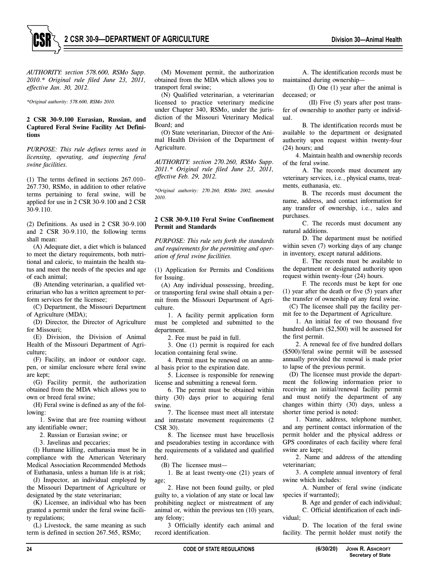

*AUTHORITY: section 578.600, RSMo Supp. 2010.\* Original rule filed June 23, 2011, effective Jan. 30, 2012.* 

*\*Original authority: 578.600, RSMo 2010.* 

#### **2 CSR 30-9.100 Eurasian, Russian, and Captured Feral Swine Facility Act Definitions**

*PURPOSE: This rule defines terms used in licensing, operating, and inspecting feral swine facilities.* 

(1) The terms defined in sections 267.010– 267.730, RSMo, in addition to other relative terms pertaining to feral swine, will be applied for use in 2 CSR 30-9.100 and 2 CSR 30-9.110.

(2) Definitions. As used in 2 CSR 30-9.100 and 2 CSR 30-9.110, the following terms shall mean:

(A) Adequate diet, a diet which is balanced to meet the dietary requirements, both nutritional and caloric, to maintain the health status and meet the needs of the species and age of each animal;

(B) Attending veterinarian, a qualified veterinarian who has a written agreement to perform services for the licensee;

(C) Department, the Missouri Department of Agriculture (MDA);

(D) Director, the Director of Agriculture for Missouri;

(E) Division, the Division of Animal Health of the Missouri Department of Agriculture;

(F) Facility, an indoor or outdoor cage, pen, or similar enclosure where feral swine are kept;

(G) Facility permit, the authorization obtained from the MDA which allows you to own or breed feral swine;

(H) Feral swine is defined as any of the following:

1. Swine that are free roaming without any identifiable owner;

2. Russian or Eurasian swine; or

3. Javelinas and peccaries;

(I) Humane killing, euthanasia must be in compliance with the American Veterinary Medical Association Recommended Methods of Euthanasia, unless a human life is at risk;

(J) Inspector, an individual employed by the Missouri Department of Agriculture or designated by the state veterinarian;

(K) Licensee, an individual who has been granted a permit under the feral swine facility regulations;

(L) Livestock, the same meaning as such term is defined in section 267.565, RSMo;

(M) Movement permit, the authorization obtained from the MDA which allows you to transport feral swine;

(N) Qualified veterinarian, a veterinarian licensed to practice veterinary medicine under Chapter 340, RSMo, under the jurisdiction of the Missouri Veterinary Medical Board; and

(O) State veterinarian, Director of the Animal Health Division of the Department of Agriculture.

*AUTHORITY: section 270.260, RSMo Supp. 2011.\* Original rule filed June 23, 2011, effective Feb. 29, 2012.* 

*\*Original authority: 270.260, RSMo 2002, amended 2010.* 

## **2 CSR 30-9.110 Feral Swine Confinement Permit and Standards**

*PURPOSE: This rule sets forth the standards and requirements for the permitting and operation of feral swine facilities.* 

(1) Application for Permits and Conditions for Issuing.

(A) Any individual possessing, breeding, or transporting feral swine shall obtain a permit from the Missouri Department of Agriculture.

1. A facility permit application form must be completed and submitted to the department.

2. Fee must be paid in full.

3. One (1) permit is required for each location containing feral swine.

4. Permit must be renewed on an annual basis prior to the expiration date.

5. Licensee is responsible for renewing license and submitting a renewal form.

6. The permit must be obtained within thirty (30) days prior to acquiring feral swine.

7. The licensee must meet all interstate and intrastate movement requirements (2 CSR 30).

8. The licensee must have brucellosis and pseudorabies testing in accordance with the requirements of a validated and qualified herd.

(B) The licensee must—

1. Be at least twenty-one (21) years of age;

2. Have not been found guilty, or pled guilty to, a violation of any state or local law prohibiting neglect or mistreatment of any animal or, within the previous ten (10) years, any felony;

3 Officially identify each animal and record identification.

A. The identification records must be maintained during ownership—

(I) One (1) year after the animal is deceased; or

(II) Five (5) years after post transfer of ownership to another party or individual.

B. The identification records must be available to the department or designated authority upon request within twenty-four (24) hours; and

4. Maintain health and ownership records of the feral swine.

A. The records must document any veterinary services, i.e., physical exams, treatments, euthanasia, etc.

B. The records must document the name, address, and contact information for any transfer of ownership, i.e., sales and purchases.

C. The records must document any natural additions.

D. The department must be notified within seven (7) working days of any change in inventory, except natural additions.

E. The records must be available to the department or designated authority upon request within twenty-four (24) hours.

F. The records must be kept for one (1) year after the death or five (5) years after the transfer of ownership of any feral swine.

(C) The licensee shall pay the facility permit fee to the Department of Agriculture.

1. An initial fee of two thousand five hundred dollars (\$2,500) will be assessed for the first permit.

2. A renewal fee of five hundred dollars (\$500)/feral swine permit will be assessed annually provided the renewal is made prior to lapse of the previous permit.

(D) The licensee must provide the department the following information prior to receiving an initial/renewal facility permit and must notify the department of any changes within thirty (30) days, unless a shorter time period is noted:

1. Name, address, telephone number, and any pertinent contact information of the permit holder and the physical address or GPS coordinates of each facility where feral swine are kept;

2. Name and address of the attending veterinarian;

3. A complete annual inventory of feral swine which includes:

A. Number of feral swine (indicate species if warranted);

B. Age and gender of each individual;

C. Official identification of each individual;

D. The location of the feral swine facility. The permit holder must notify the